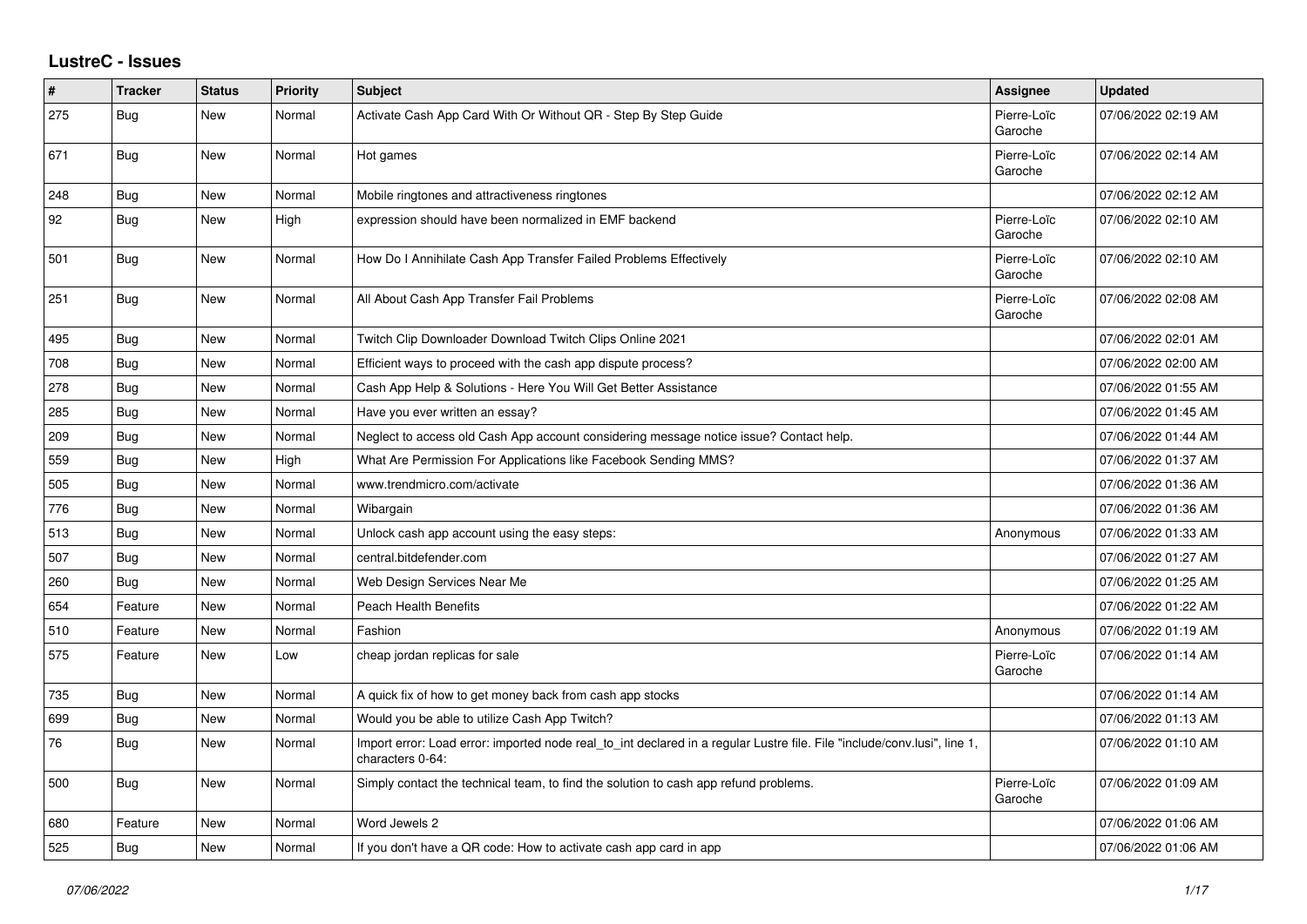## **LustreC - Issues**

| $\sharp$ | <b>Tracker</b> | <b>Status</b> | <b>Priority</b> | <b>Subject</b>                                                                                                                               | Assignee               | <b>Updated</b>      |
|----------|----------------|---------------|-----------------|----------------------------------------------------------------------------------------------------------------------------------------------|------------------------|---------------------|
| 275      | Bug            | New           | Normal          | Activate Cash App Card With Or Without QR - Step By Step Guide                                                                               | Pierre-Loïc<br>Garoche | 07/06/2022 02:19 AM |
| 671      | <b>Bug</b>     | <b>New</b>    | Normal          | Hot games                                                                                                                                    | Pierre-Loïc<br>Garoche | 07/06/2022 02:14 AM |
| 248      | Bug            | <b>New</b>    | Normal          | Mobile ringtones and attractiveness ringtones                                                                                                |                        | 07/06/2022 02:12 AM |
| 92       | Bug            | New           | High            | expression should have been normalized in EMF backend                                                                                        | Pierre-Loïc<br>Garoche | 07/06/2022 02:10 AM |
| 501      | <b>Bug</b>     | <b>New</b>    | Normal          | How Do I Annihilate Cash App Transfer Failed Problems Effectively                                                                            | Pierre-Loïc<br>Garoche | 07/06/2022 02:10 AM |
| 251      | <b>Bug</b>     | New           | Normal          | All About Cash App Transfer Fail Problems                                                                                                    | Pierre-Loïc<br>Garoche | 07/06/2022 02:08 AM |
| 495      | Bug            | New           | Normal          | Twitch Clip Downloader Download Twitch Clips Online 2021                                                                                     |                        | 07/06/2022 02:01 AM |
| 708      | Bug            | New           | Normal          | Efficient ways to proceed with the cash app dispute process?                                                                                 |                        | 07/06/2022 02:00 AM |
| 278      | Bug            | <b>New</b>    | Normal          | Cash App Help & Solutions - Here You Will Get Better Assistance                                                                              |                        | 07/06/2022 01:55 AM |
| 285      | <b>Bug</b>     | New           | Normal          | Have you ever written an essay?                                                                                                              |                        | 07/06/2022 01:45 AM |
| 209      | <b>Bug</b>     | <b>New</b>    | Normal          | Neglect to access old Cash App account considering message notice issue? Contact help.                                                       |                        | 07/06/2022 01:44 AM |
| 559      | <b>Bug</b>     | New           | High            | What Are Permission For Applications like Facebook Sending MMS?                                                                              |                        | 07/06/2022 01:37 AM |
| 505      | Bug            | New           | Normal          | www.trendmicro.com/activate                                                                                                                  |                        | 07/06/2022 01:36 AM |
| 776      | Bug            | <b>New</b>    | Normal          | Wibargain                                                                                                                                    |                        | 07/06/2022 01:36 AM |
| 513      | Bug            | <b>New</b>    | Normal          | Unlock cash app account using the easy steps:                                                                                                | Anonymous              | 07/06/2022 01:33 AM |
| 507      | Bug            | New           | Normal          | central.bitdefender.com                                                                                                                      |                        | 07/06/2022 01:27 AM |
| 260      | <b>Bug</b>     | <b>New</b>    | Normal          | Web Design Services Near Me                                                                                                                  |                        | 07/06/2022 01:25 AM |
| 654      | Feature        | <b>New</b>    | Normal          | Peach Health Benefits                                                                                                                        |                        | 07/06/2022 01:22 AM |
| 510      | Feature        | New           | Normal          | Fashion                                                                                                                                      | Anonymous              | 07/06/2022 01:19 AM |
| 575      | Feature        | <b>New</b>    | Low             | cheap jordan replicas for sale                                                                                                               | Pierre-Loïc<br>Garoche | 07/06/2022 01:14 AM |
| 735      | Bug            | New           | Normal          | A quick fix of how to get money back from cash app stocks                                                                                    |                        | 07/06/2022 01:14 AM |
| 699      | Bug            | New           | Normal          | Would you be able to utilize Cash App Twitch?                                                                                                |                        | 07/06/2022 01:13 AM |
| 76       | <b>Bug</b>     | <b>New</b>    | Normal          | Import error: Load error: imported node real to int declared in a regular Lustre file. File "include/conv.lusi", line 1,<br>characters 0-64: |                        | 07/06/2022 01:10 AM |
| 500      | Bug            | New           | Normal          | Simply contact the technical team, to find the solution to cash app refund problems.                                                         | Pierre-Loïc<br>Garoche | 07/06/2022 01:09 AM |
| 680      | Feature        | <b>New</b>    | Normal          | Word Jewels 2                                                                                                                                |                        | 07/06/2022 01:06 AM |
| 525      | <b>Bug</b>     | New           | Normal          | If you don't have a QR code: How to activate cash app card in app                                                                            |                        | 07/06/2022 01:06 AM |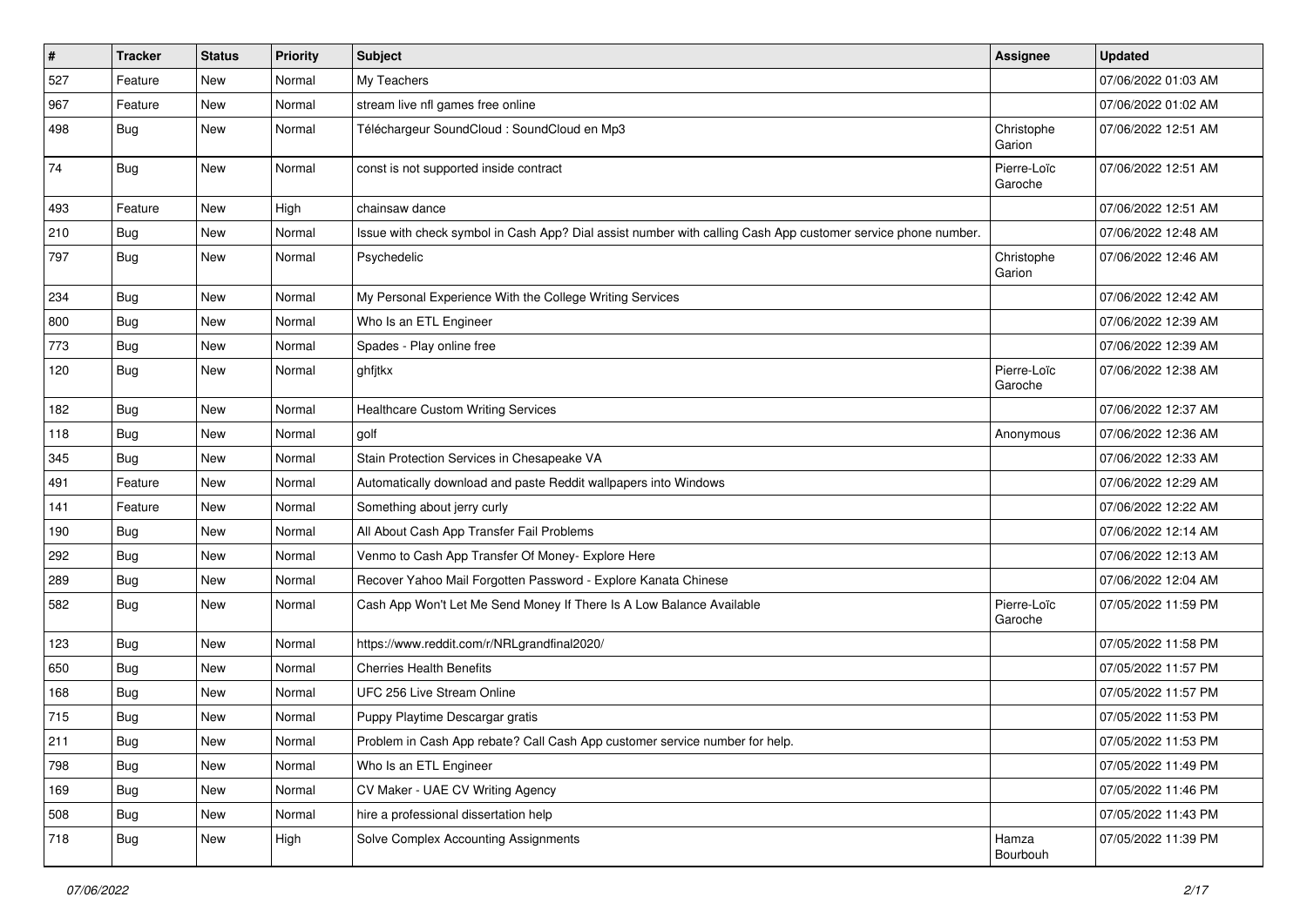| $\pmb{\#}$ | <b>Tracker</b> | <b>Status</b> | <b>Priority</b> | Subject                                                                                                      | <b>Assignee</b>        | <b>Updated</b>      |
|------------|----------------|---------------|-----------------|--------------------------------------------------------------------------------------------------------------|------------------------|---------------------|
| 527        | Feature        | New           | Normal          | My Teachers                                                                                                  |                        | 07/06/2022 01:03 AM |
| 967        | Feature        | <b>New</b>    | Normal          | stream live nfl games free online                                                                            |                        | 07/06/2022 01:02 AM |
| 498        | <b>Bug</b>     | New           | Normal          | Téléchargeur SoundCloud : SoundCloud en Mp3                                                                  | Christophe<br>Garion   | 07/06/2022 12:51 AM |
| 74         | Bug            | New           | Normal          | const is not supported inside contract                                                                       | Pierre-Loïc<br>Garoche | 07/06/2022 12:51 AM |
| 493        | Feature        | New           | High            | chainsaw dance                                                                                               |                        | 07/06/2022 12:51 AM |
| 210        | Bug            | New           | Normal          | Issue with check symbol in Cash App? Dial assist number with calling Cash App customer service phone number. |                        | 07/06/2022 12:48 AM |
| 797        | Bug            | New           | Normal          | Psychedelic                                                                                                  | Christophe<br>Garion   | 07/06/2022 12:46 AM |
| 234        | <b>Bug</b>     | New           | Normal          | My Personal Experience With the College Writing Services                                                     |                        | 07/06/2022 12:42 AM |
| 800        | <b>Bug</b>     | New           | Normal          | Who Is an ETL Engineer                                                                                       |                        | 07/06/2022 12:39 AM |
| 773        | Bug            | New           | Normal          | Spades - Play online free                                                                                    |                        | 07/06/2022 12:39 AM |
| 120        | Bug            | New           | Normal          | ghfjtkx                                                                                                      | Pierre-Loïc<br>Garoche | 07/06/2022 12:38 AM |
| 182        | <b>Bug</b>     | New           | Normal          | <b>Healthcare Custom Writing Services</b>                                                                    |                        | 07/06/2022 12:37 AM |
| 118        | <b>Bug</b>     | New           | Normal          | golf                                                                                                         | Anonymous              | 07/06/2022 12:36 AM |
| 345        | <b>Bug</b>     | New           | Normal          | Stain Protection Services in Chesapeake VA                                                                   |                        | 07/06/2022 12:33 AM |
| 491        | Feature        | New           | Normal          | Automatically download and paste Reddit wallpapers into Windows                                              |                        | 07/06/2022 12:29 AM |
| 141        | Feature        | New           | Normal          | Something about jerry curly                                                                                  |                        | 07/06/2022 12:22 AM |
| 190        | <b>Bug</b>     | New           | Normal          | All About Cash App Transfer Fail Problems                                                                    |                        | 07/06/2022 12:14 AM |
| 292        | Bug            | New           | Normal          | Venmo to Cash App Transfer Of Money- Explore Here                                                            |                        | 07/06/2022 12:13 AM |
| 289        | <b>Bug</b>     | New           | Normal          | Recover Yahoo Mail Forgotten Password - Explore Kanata Chinese                                               |                        | 07/06/2022 12:04 AM |
| 582        | <b>Bug</b>     | New           | Normal          | Cash App Won't Let Me Send Money If There Is A Low Balance Available                                         | Pierre-Loïc<br>Garoche | 07/05/2022 11:59 PM |
| 123        | Bug            | New           | Normal          | https://www.reddit.com/r/NRLgrandfinal2020/                                                                  |                        | 07/05/2022 11:58 PM |
| 650        | <b>Bug</b>     | New           | Normal          | <b>Cherries Health Benefits</b>                                                                              |                        | 07/05/2022 11:57 PM |
| 168        | <b>Bug</b>     | New           | Normal          | UFC 256 Live Stream Online                                                                                   |                        | 07/05/2022 11:57 PM |
| 715        | <b>Bug</b>     | New           | Normal          | Puppy Playtime Descargar gratis                                                                              |                        | 07/05/2022 11:53 PM |
| 211        | Bug            | New           | Normal          | Problem in Cash App rebate? Call Cash App customer service number for help.                                  |                        | 07/05/2022 11:53 PM |
| 798        | <b>Bug</b>     | New           | Normal          | Who Is an ETL Engineer                                                                                       |                        | 07/05/2022 11:49 PM |
| 169        | <b>Bug</b>     | New           | Normal          | CV Maker - UAE CV Writing Agency                                                                             |                        | 07/05/2022 11:46 PM |
| 508        | <b>Bug</b>     | New           | Normal          | hire a professional dissertation help                                                                        |                        | 07/05/2022 11:43 PM |
| 718        | <b>Bug</b>     | New           | High            | Solve Complex Accounting Assignments                                                                         | Hamza<br>Bourbouh      | 07/05/2022 11:39 PM |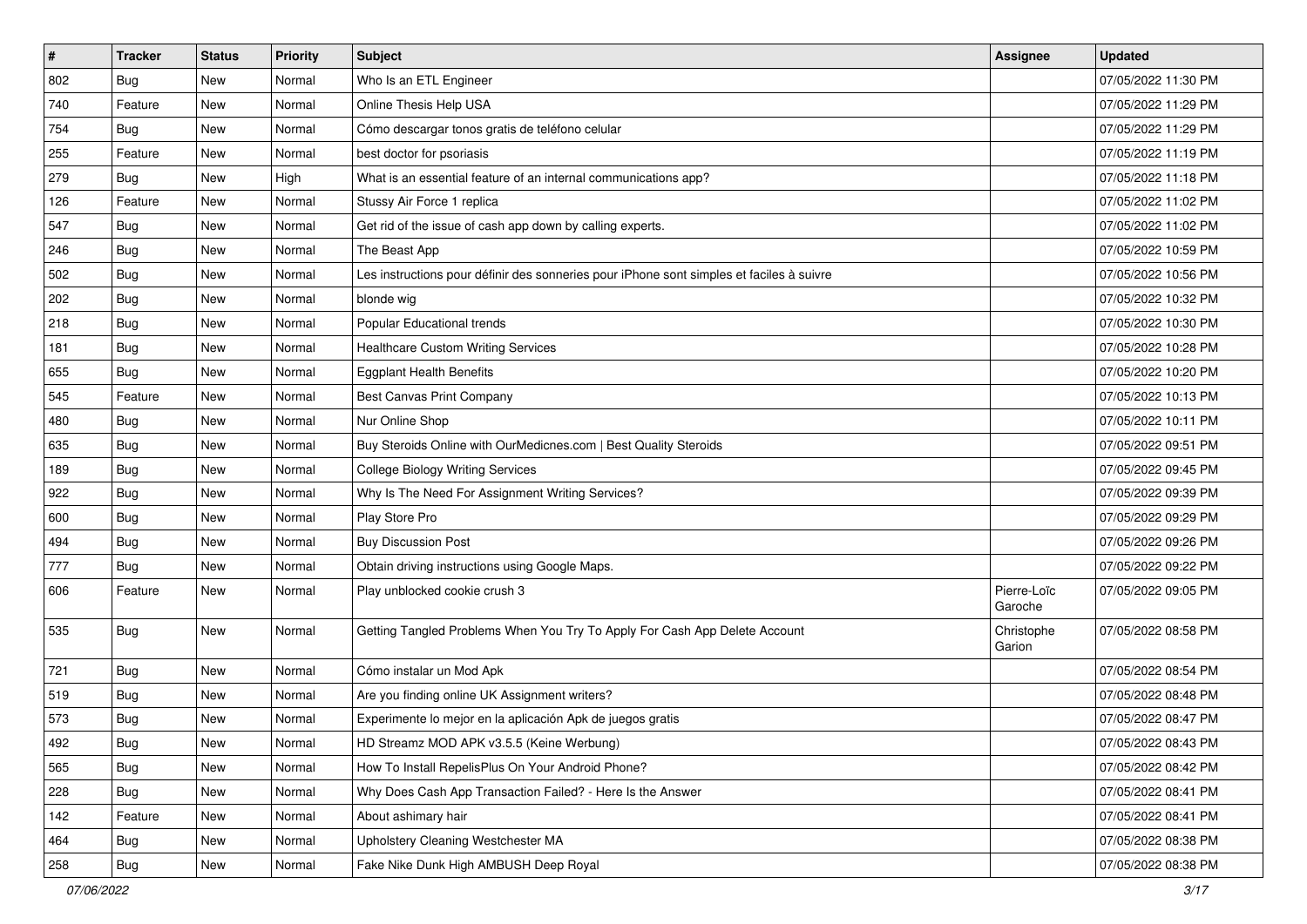| #   | <b>Tracker</b> | <b>Status</b> | <b>Priority</b> | Subject                                                                                  | <b>Assignee</b>        | <b>Updated</b>      |
|-----|----------------|---------------|-----------------|------------------------------------------------------------------------------------------|------------------------|---------------------|
| 802 | <b>Bug</b>     | New           | Normal          | Who Is an ETL Engineer                                                                   |                        | 07/05/2022 11:30 PM |
| 740 | Feature        | New           | Normal          | Online Thesis Help USA                                                                   |                        | 07/05/2022 11:29 PM |
| 754 | Bug            | New           | Normal          | Cómo descargar tonos gratis de teléfono celular                                          |                        | 07/05/2022 11:29 PM |
| 255 | Feature        | New           | Normal          | best doctor for psoriasis                                                                |                        | 07/05/2022 11:19 PM |
| 279 | <b>Bug</b>     | <b>New</b>    | High            | What is an essential feature of an internal communications app?                          |                        | 07/05/2022 11:18 PM |
| 126 | Feature        | New           | Normal          | Stussy Air Force 1 replica                                                               |                        | 07/05/2022 11:02 PM |
| 547 | Bug            | New           | Normal          | Get rid of the issue of cash app down by calling experts.                                |                        | 07/05/2022 11:02 PM |
| 246 | <b>Bug</b>     | New           | Normal          | The Beast App                                                                            |                        | 07/05/2022 10:59 PM |
| 502 | Bug            | New           | Normal          | Les instructions pour définir des sonneries pour iPhone sont simples et faciles à suivre |                        | 07/05/2022 10:56 PM |
| 202 | <b>Bug</b>     | <b>New</b>    | Normal          | blonde wig                                                                               |                        | 07/05/2022 10:32 PM |
| 218 | <b>Bug</b>     | New           | Normal          | Popular Educational trends                                                               |                        | 07/05/2022 10:30 PM |
| 181 | <b>Bug</b>     | New           | Normal          | <b>Healthcare Custom Writing Services</b>                                                |                        | 07/05/2022 10:28 PM |
| 655 | Bug            | <b>New</b>    | Normal          | <b>Eggplant Health Benefits</b>                                                          |                        | 07/05/2022 10:20 PM |
| 545 | Feature        | New           | Normal          | Best Canvas Print Company                                                                |                        | 07/05/2022 10:13 PM |
| 480 | <b>Bug</b>     | <b>New</b>    | Normal          | Nur Online Shop                                                                          |                        | 07/05/2022 10:11 PM |
| 635 | Bug            | New           | Normal          | Buy Steroids Online with OurMedicnes.com   Best Quality Steroids                         |                        | 07/05/2022 09:51 PM |
| 189 | <b>Bug</b>     | New           | Normal          | <b>College Biology Writing Services</b>                                                  |                        | 07/05/2022 09:45 PM |
| 922 | Bug            | New           | Normal          | Why Is The Need For Assignment Writing Services?                                         |                        | 07/05/2022 09:39 PM |
| 600 | <b>Bug</b>     | New           | Normal          | Play Store Pro                                                                           |                        | 07/05/2022 09:29 PM |
| 494 | Bug            | New           | Normal          | <b>Buy Discussion Post</b>                                                               |                        | 07/05/2022 09:26 PM |
| 777 | <b>Bug</b>     | New           | Normal          | Obtain driving instructions using Google Maps.                                           |                        | 07/05/2022 09:22 PM |
| 606 | Feature        | New           | Normal          | Play unblocked cookie crush 3                                                            | Pierre-Loïc<br>Garoche | 07/05/2022 09:05 PM |
| 535 | Bug            | New           | Normal          | Getting Tangled Problems When You Try To Apply For Cash App Delete Account               | Christophe<br>Garion   | 07/05/2022 08:58 PM |
| 721 | <b>Bug</b>     | <b>New</b>    | Normal          | Cómo instalar un Mod Apk                                                                 |                        | 07/05/2022 08:54 PM |
| 519 | <b>Bug</b>     | New           | Normal          | Are you finding online UK Assignment writers?                                            |                        | 07/05/2022 08:48 PM |
| 573 | <b>Bug</b>     | New           | Normal          | Experimente lo mejor en la aplicación Apk de juegos gratis                               |                        | 07/05/2022 08:47 PM |
| 492 | Bug            | New           | Normal          | HD Streamz MOD APK v3.5.5 (Keine Werbung)                                                |                        | 07/05/2022 08:43 PM |
| 565 | Bug            | New           | Normal          | How To Install RepelisPlus On Your Android Phone?                                        |                        | 07/05/2022 08:42 PM |
| 228 | Bug            | New           | Normal          | Why Does Cash App Transaction Failed? - Here Is the Answer                               |                        | 07/05/2022 08:41 PM |
| 142 | Feature        | New           | Normal          | About ashimary hair                                                                      |                        | 07/05/2022 08:41 PM |
| 464 | <b>Bug</b>     | New           | Normal          | Upholstery Cleaning Westchester MA                                                       |                        | 07/05/2022 08:38 PM |
| 258 | <b>Bug</b>     | New           | Normal          | Fake Nike Dunk High AMBUSH Deep Royal                                                    |                        | 07/05/2022 08:38 PM |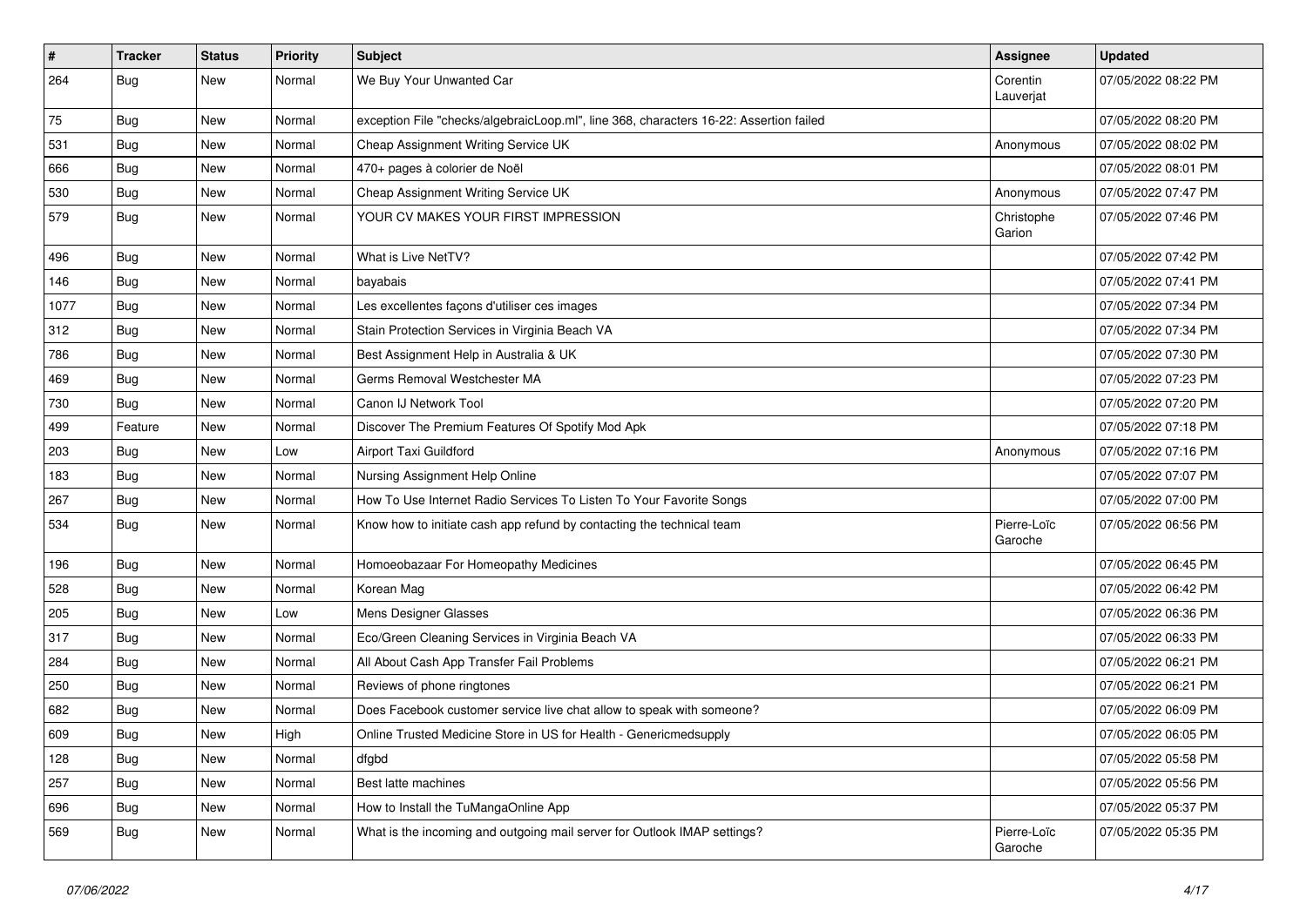| $\vert$ # | <b>Tracker</b> | <b>Status</b> | Priority | <b>Subject</b>                                                                         | <b>Assignee</b>        | <b>Updated</b>      |
|-----------|----------------|---------------|----------|----------------------------------------------------------------------------------------|------------------------|---------------------|
| 264       | <b>Bug</b>     | New           | Normal   | We Buy Your Unwanted Car                                                               | Corentin<br>Lauverjat  | 07/05/2022 08:22 PM |
| 75        | <b>Bug</b>     | New           | Normal   | exception File "checks/algebraicLoop.ml", line 368, characters 16-22: Assertion failed |                        | 07/05/2022 08:20 PM |
| 531       | <b>Bug</b>     | New           | Normal   | Cheap Assignment Writing Service UK                                                    | Anonymous              | 07/05/2022 08:02 PM |
| 666       | Bug            | New           | Normal   | 470+ pages à colorier de Noël                                                          |                        | 07/05/2022 08:01 PM |
| 530       | Bug            | New           | Normal   | Cheap Assignment Writing Service UK                                                    | Anonymous              | 07/05/2022 07:47 PM |
| 579       | <b>Bug</b>     | New           | Normal   | YOUR CV MAKES YOUR FIRST IMPRESSION                                                    | Christophe<br>Garion   | 07/05/2022 07:46 PM |
| 496       | Bug            | New           | Normal   | What is Live NetTV?                                                                    |                        | 07/05/2022 07:42 PM |
| 146       | <b>Bug</b>     | New           | Normal   | bayabais                                                                               |                        | 07/05/2022 07:41 PM |
| 1077      | Bug            | New           | Normal   | Les excellentes façons d'utiliser ces images                                           |                        | 07/05/2022 07:34 PM |
| 312       | <b>Bug</b>     | <b>New</b>    | Normal   | Stain Protection Services in Virginia Beach VA                                         |                        | 07/05/2022 07:34 PM |
| 786       | Bug            | New           | Normal   | Best Assignment Help in Australia & UK                                                 |                        | 07/05/2022 07:30 PM |
| 469       | <b>Bug</b>     | New           | Normal   | Germs Removal Westchester MA                                                           |                        | 07/05/2022 07:23 PM |
| 730       | <b>Bug</b>     | New           | Normal   | Canon IJ Network Tool                                                                  |                        | 07/05/2022 07:20 PM |
| 499       | Feature        | New           | Normal   | Discover The Premium Features Of Spotify Mod Apk                                       |                        | 07/05/2022 07:18 PM |
| 203       | <b>Bug</b>     | New           | Low      | Airport Taxi Guildford                                                                 | Anonymous              | 07/05/2022 07:16 PM |
| 183       | Bug            | New           | Normal   | Nursing Assignment Help Online                                                         |                        | 07/05/2022 07:07 PM |
| 267       | <b>Bug</b>     | New           | Normal   | How To Use Internet Radio Services To Listen To Your Favorite Songs                    |                        | 07/05/2022 07:00 PM |
| 534       | <b>Bug</b>     | New           | Normal   | Know how to initiate cash app refund by contacting the technical team                  | Pierre-Loïc<br>Garoche | 07/05/2022 06:56 PM |
| 196       | Bug            | New           | Normal   | Homoeobazaar For Homeopathy Medicines                                                  |                        | 07/05/2022 06:45 PM |
| 528       | <b>Bug</b>     | New           | Normal   | Korean Mag                                                                             |                        | 07/05/2022 06:42 PM |
| 205       | <b>Bug</b>     | New           | Low      | Mens Designer Glasses                                                                  |                        | 07/05/2022 06:36 PM |
| 317       | <b>Bug</b>     | New           | Normal   | Eco/Green Cleaning Services in Virginia Beach VA                                       |                        | 07/05/2022 06:33 PM |
| 284       | Bug            | New           | Normal   | All About Cash App Transfer Fail Problems                                              |                        | 07/05/2022 06:21 PM |
| 250       | <b>Bug</b>     | New           | Normal   | Reviews of phone ringtones                                                             |                        | 07/05/2022 06:21 PM |
| 682       | <b>Bug</b>     | New           | Normal   | Does Facebook customer service live chat allow to speak with someone?                  |                        | 07/05/2022 06:09 PM |
| 609       | Bug            | New           | High     | Online Trusted Medicine Store in US for Health - Genericmedsupply                      |                        | 07/05/2022 06:05 PM |
| 128       | <b>Bug</b>     | New           | Normal   | dfgbd                                                                                  |                        | 07/05/2022 05:58 PM |
| 257       | Bug            | New           | Normal   | Best latte machines                                                                    |                        | 07/05/2022 05:56 PM |
| 696       | <b>Bug</b>     | New           | Normal   | How to Install the TuMangaOnline App                                                   |                        | 07/05/2022 05:37 PM |
| 569       | <b>Bug</b>     | New           | Normal   | What is the incoming and outgoing mail server for Outlook IMAP settings?               | Pierre-Loïc<br>Garoche | 07/05/2022 05:35 PM |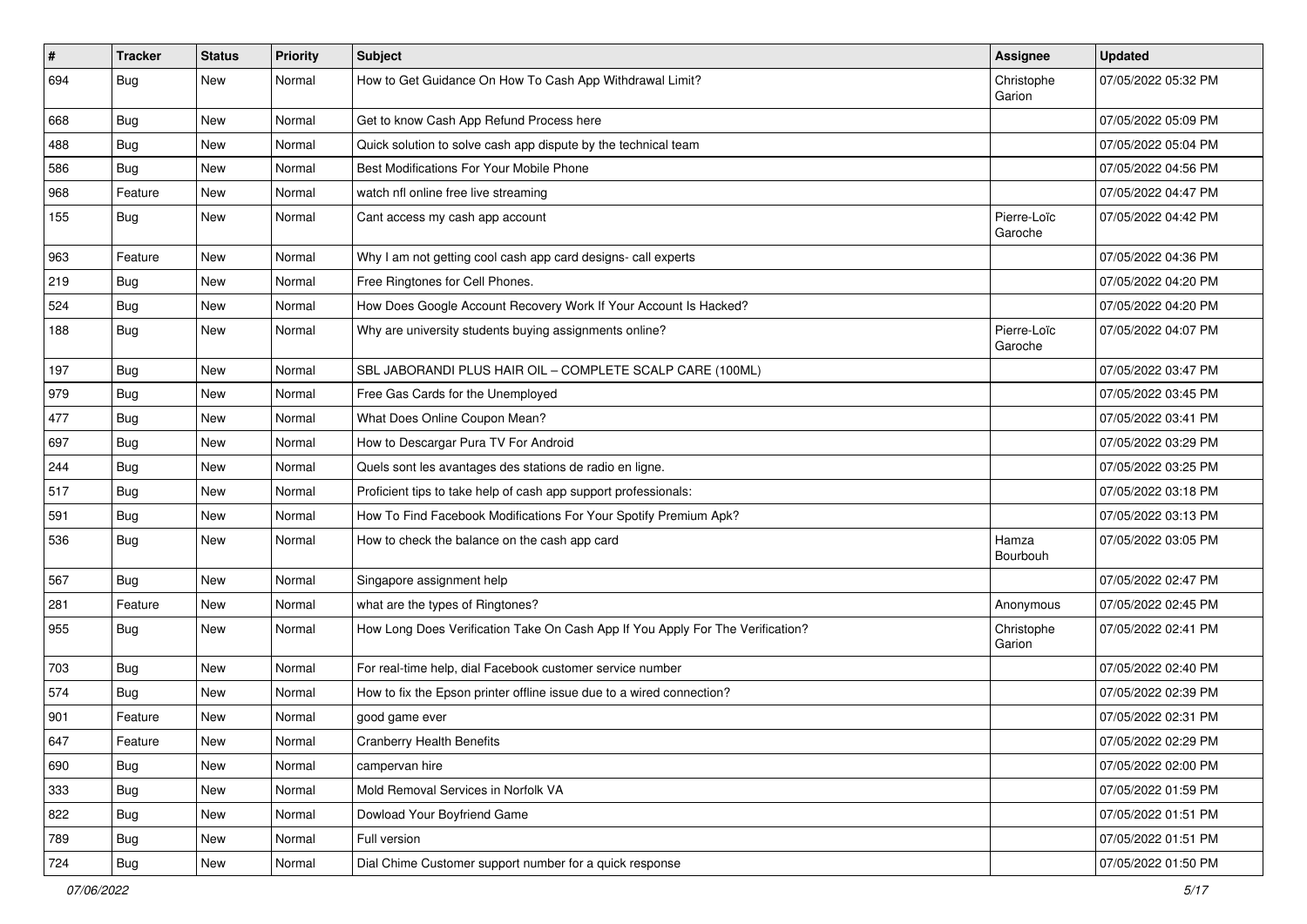| $\pmb{\#}$ | <b>Tracker</b> | <b>Status</b> | <b>Priority</b> | <b>Subject</b>                                                                 | <b>Assignee</b>        | <b>Updated</b>      |
|------------|----------------|---------------|-----------------|--------------------------------------------------------------------------------|------------------------|---------------------|
| 694        | <b>Bug</b>     | New           | Normal          | How to Get Guidance On How To Cash App Withdrawal Limit?                       | Christophe<br>Garion   | 07/05/2022 05:32 PM |
| 668        | <b>Bug</b>     | New           | Normal          | Get to know Cash App Refund Process here                                       |                        | 07/05/2022 05:09 PM |
| 488        | <b>Bug</b>     | New           | Normal          | Quick solution to solve cash app dispute by the technical team                 |                        | 07/05/2022 05:04 PM |
| 586        | <b>Bug</b>     | New           | Normal          | Best Modifications For Your Mobile Phone                                       |                        | 07/05/2022 04:56 PM |
| 968        | Feature        | New           | Normal          | watch nfl online free live streaming                                           |                        | 07/05/2022 04:47 PM |
| 155        | <b>Bug</b>     | New           | Normal          | Cant access my cash app account                                                | Pierre-Loïc<br>Garoche | 07/05/2022 04:42 PM |
| 963        | Feature        | New           | Normal          | Why I am not getting cool cash app card designs- call experts                  |                        | 07/05/2022 04:36 PM |
| 219        | <b>Bug</b>     | New           | Normal          | Free Ringtones for Cell Phones.                                                |                        | 07/05/2022 04:20 PM |
| 524        | Bug            | New           | Normal          | How Does Google Account Recovery Work If Your Account Is Hacked?               |                        | 07/05/2022 04:20 PM |
| 188        | Bug            | New           | Normal          | Why are university students buying assignments online?                         | Pierre-Loïc<br>Garoche | 07/05/2022 04:07 PM |
| 197        | <b>Bug</b>     | New           | Normal          | SBL JABORANDI PLUS HAIR OIL - COMPLETE SCALP CARE (100ML)                      |                        | 07/05/2022 03:47 PM |
| 979        | Bug            | New           | Normal          | Free Gas Cards for the Unemployed                                              |                        | 07/05/2022 03:45 PM |
| 477        | <b>Bug</b>     | New           | Normal          | What Does Online Coupon Mean?                                                  |                        | 07/05/2022 03:41 PM |
| 697        | <b>Bug</b>     | New           | Normal          | How to Descargar Pura TV For Android                                           |                        | 07/05/2022 03:29 PM |
| 244        | Bug            | New           | Normal          | Quels sont les avantages des stations de radio en ligne.                       |                        | 07/05/2022 03:25 PM |
| 517        | <b>Bug</b>     | New           | Normal          | Proficient tips to take help of cash app support professionals:                |                        | 07/05/2022 03:18 PM |
| 591        | Bug            | New           | Normal          | How To Find Facebook Modifications For Your Spotify Premium Apk?               |                        | 07/05/2022 03:13 PM |
| 536        | <b>Bug</b>     | New           | Normal          | How to check the balance on the cash app card                                  | Hamza<br>Bourbouh      | 07/05/2022 03:05 PM |
| 567        | <b>Bug</b>     | New           | Normal          | Singapore assignment help                                                      |                        | 07/05/2022 02:47 PM |
| 281        | Feature        | New           | Normal          | what are the types of Ringtones?                                               | Anonymous              | 07/05/2022 02:45 PM |
| 955        | <b>Bug</b>     | New           | Normal          | How Long Does Verification Take On Cash App If You Apply For The Verification? | Christophe<br>Garion   | 07/05/2022 02:41 PM |
| 703        | <b>Bug</b>     | New           | Normal          | For real-time help, dial Facebook customer service number                      |                        | 07/05/2022 02:40 PM |
| 574        | <b>Bug</b>     | New           | Normal          | How to fix the Epson printer offline issue due to a wired connection?          |                        | 07/05/2022 02:39 PM |
| 901        | Feature        | New           | Normal          | good game ever                                                                 |                        | 07/05/2022 02:31 PM |
| 647        | Feature        | New           | Normal          | <b>Cranberry Health Benefits</b>                                               |                        | 07/05/2022 02:29 PM |
| 690        | <b>Bug</b>     | New           | Normal          | campervan hire                                                                 |                        | 07/05/2022 02:00 PM |
| 333        | Bug            | New           | Normal          | Mold Removal Services in Norfolk VA                                            |                        | 07/05/2022 01:59 PM |
| 822        | <b>Bug</b>     | New           | Normal          | Dowload Your Boyfriend Game                                                    |                        | 07/05/2022 01:51 PM |
| 789        | <b>Bug</b>     | New           | Normal          | Full version                                                                   |                        | 07/05/2022 01:51 PM |
| 724        | <b>Bug</b>     | New           | Normal          | Dial Chime Customer support number for a quick response                        |                        | 07/05/2022 01:50 PM |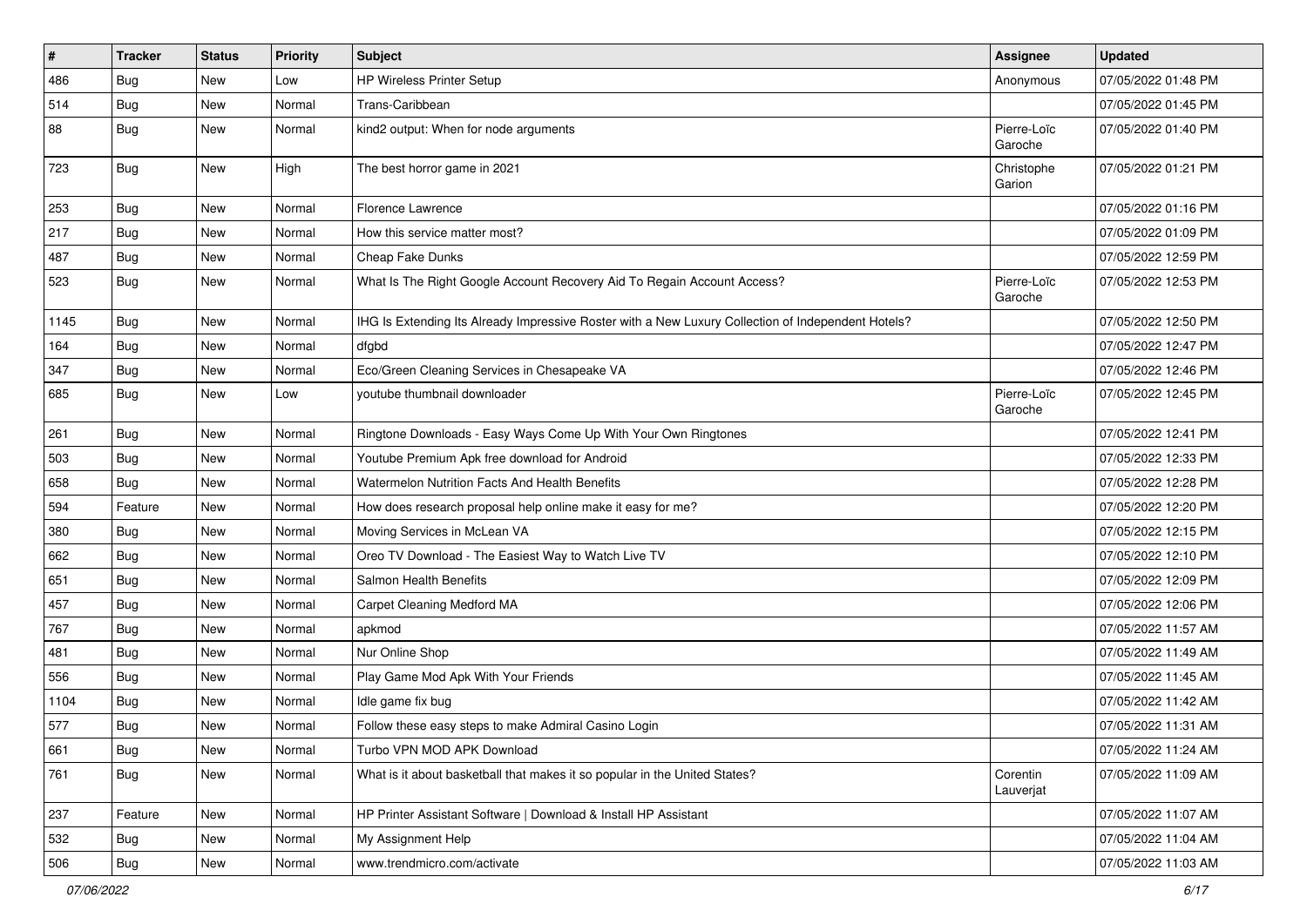| $\vert$ # | <b>Tracker</b> | <b>Status</b> | <b>Priority</b> | <b>Subject</b>                                                                                     | <b>Assignee</b>        | <b>Updated</b>      |
|-----------|----------------|---------------|-----------------|----------------------------------------------------------------------------------------------------|------------------------|---------------------|
| 486       | Bug            | New           | Low             | <b>HP Wireless Printer Setup</b>                                                                   | Anonymous              | 07/05/2022 01:48 PM |
| 514       | Bug            | <b>New</b>    | Normal          | Trans-Caribbean                                                                                    |                        | 07/05/2022 01:45 PM |
| 88        | Bug            | New           | Normal          | kind2 output: When for node arguments                                                              | Pierre-Loïc<br>Garoche | 07/05/2022 01:40 PM |
| 723       | Bug            | New           | High            | The best horror game in 2021                                                                       | Christophe<br>Garion   | 07/05/2022 01:21 PM |
| 253       | Bug            | New           | Normal          | Florence Lawrence                                                                                  |                        | 07/05/2022 01:16 PM |
| 217       | Bug            | New           | Normal          | How this service matter most?                                                                      |                        | 07/05/2022 01:09 PM |
| 487       | Bug            | New           | Normal          | Cheap Fake Dunks                                                                                   |                        | 07/05/2022 12:59 PM |
| 523       | Bug            | New           | Normal          | What Is The Right Google Account Recovery Aid To Regain Account Access?                            | Pierre-Loïc<br>Garoche | 07/05/2022 12:53 PM |
| 1145      | <b>Bug</b>     | New           | Normal          | IHG Is Extending Its Already Impressive Roster with a New Luxury Collection of Independent Hotels? |                        | 07/05/2022 12:50 PM |
| 164       | <b>Bug</b>     | New           | Normal          | dfgbd                                                                                              |                        | 07/05/2022 12:47 PM |
| 347       | <b>Bug</b>     | New           | Normal          | Eco/Green Cleaning Services in Chesapeake VA                                                       |                        | 07/05/2022 12:46 PM |
| 685       | <b>Bug</b>     | New           | Low             | youtube thumbnail downloader                                                                       | Pierre-Loïc<br>Garoche | 07/05/2022 12:45 PM |
| 261       | Bug            | New           | Normal          | Ringtone Downloads - Easy Ways Come Up With Your Own Ringtones                                     |                        | 07/05/2022 12:41 PM |
| 503       | Bug            | <b>New</b>    | Normal          | Youtube Premium Apk free download for Android                                                      |                        | 07/05/2022 12:33 PM |
| 658       | Bug            | New           | Normal          | Watermelon Nutrition Facts And Health Benefits                                                     |                        | 07/05/2022 12:28 PM |
| 594       | Feature        | <b>New</b>    | Normal          | How does research proposal help online make it easy for me?                                        |                        | 07/05/2022 12:20 PM |
| 380       | Bug            | New           | Normal          | Moving Services in McLean VA                                                                       |                        | 07/05/2022 12:15 PM |
| 662       | <b>Bug</b>     | New           | Normal          | Oreo TV Download - The Easiest Way to Watch Live TV                                                |                        | 07/05/2022 12:10 PM |
| 651       | Bug            | New           | Normal          | Salmon Health Benefits                                                                             |                        | 07/05/2022 12:09 PM |
| 457       | Bug            | New           | Normal          | Carpet Cleaning Medford MA                                                                         |                        | 07/05/2022 12:06 PM |
| 767       | <b>Bug</b>     | New           | Normal          | apkmod                                                                                             |                        | 07/05/2022 11:57 AM |
| 481       | Bug            | New           | Normal          | Nur Online Shop                                                                                    |                        | 07/05/2022 11:49 AM |
| 556       | Bug            | New           | Normal          | Play Game Mod Apk With Your Friends                                                                |                        | 07/05/2022 11:45 AM |
| 1104      | <b>Bug</b>     | New           | Normal          | Idle game fix bug                                                                                  |                        | 07/05/2022 11:42 AM |
| 577       | <b>Bug</b>     | New           | Normal          | Follow these easy steps to make Admiral Casino Login                                               |                        | 07/05/2022 11:31 AM |
| 661       | Bug            | New           | Normal          | Turbo VPN MOD APK Download                                                                         |                        | 07/05/2022 11:24 AM |
| 761       | Bug            | New           | Normal          | What is it about basketball that makes it so popular in the United States?                         | Corentin<br>Lauverjat  | 07/05/2022 11:09 AM |
| 237       | Feature        | New           | Normal          | HP Printer Assistant Software   Download & Install HP Assistant                                    |                        | 07/05/2022 11:07 AM |
| 532       | Bug            | New           | Normal          | My Assignment Help                                                                                 |                        | 07/05/2022 11:04 AM |
| 506       | Bug            | New           | Normal          | www.trendmicro.com/activate                                                                        |                        | 07/05/2022 11:03 AM |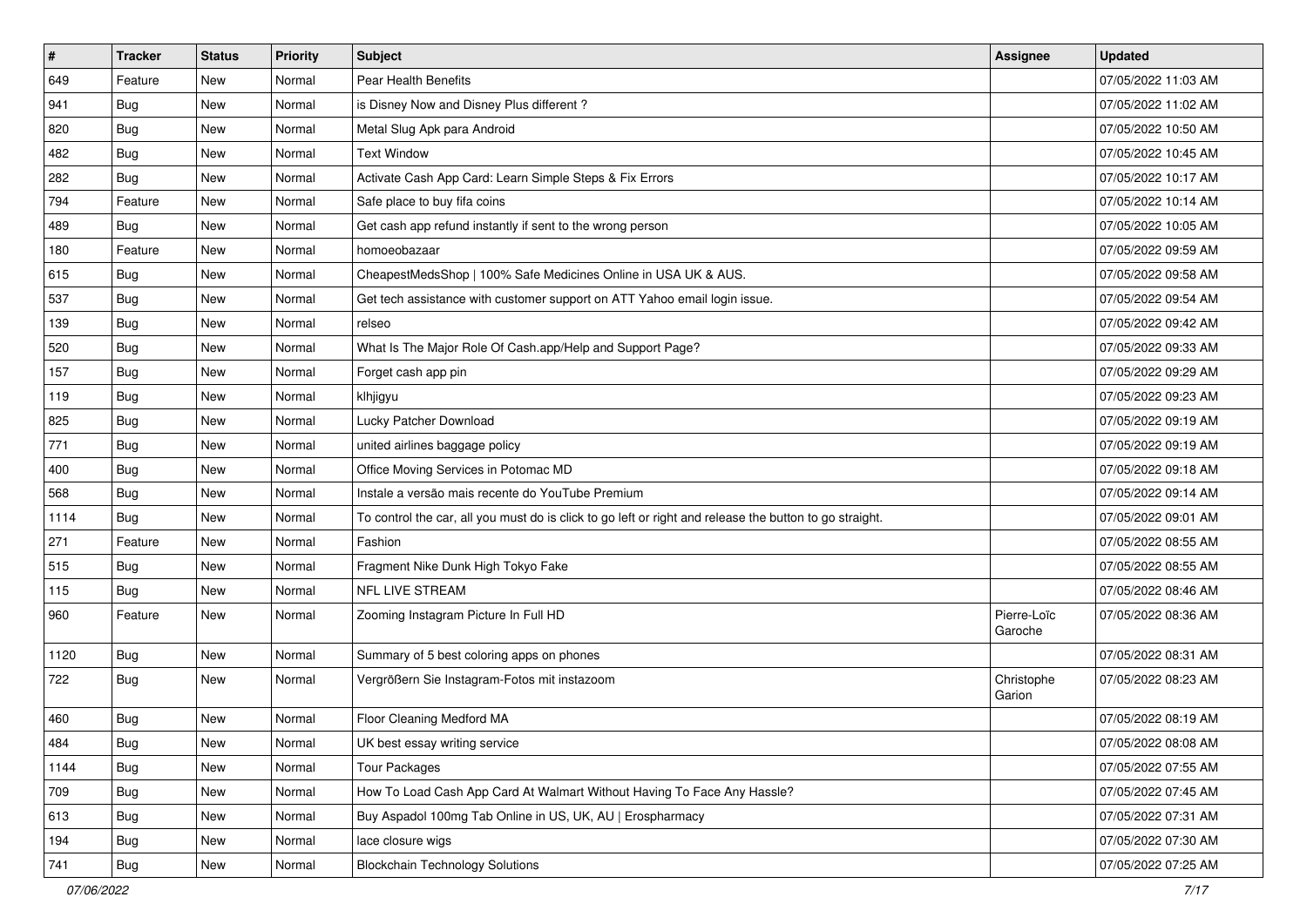| $\sharp$ | <b>Tracker</b> | <b>Status</b> | <b>Priority</b> | <b>Subject</b>                                                                                          | <b>Assignee</b>        | <b>Updated</b>      |
|----------|----------------|---------------|-----------------|---------------------------------------------------------------------------------------------------------|------------------------|---------------------|
| 649      | Feature        | New           | Normal          | Pear Health Benefits                                                                                    |                        | 07/05/2022 11:03 AM |
| 941      | <b>Bug</b>     | New           | Normal          | is Disney Now and Disney Plus different?                                                                |                        | 07/05/2022 11:02 AM |
| 820      | Bug            | New           | Normal          | Metal Slug Apk para Android                                                                             |                        | 07/05/2022 10:50 AM |
| 482      | <b>Bug</b>     | New           | Normal          | <b>Text Window</b>                                                                                      |                        | 07/05/2022 10:45 AM |
| 282      | Bug            | New           | Normal          | Activate Cash App Card: Learn Simple Steps & Fix Errors                                                 |                        | 07/05/2022 10:17 AM |
| 794      | Feature        | New           | Normal          | Safe place to buy fifa coins                                                                            |                        | 07/05/2022 10:14 AM |
| 489      | Bug            | New           | Normal          | Get cash app refund instantly if sent to the wrong person                                               |                        | 07/05/2022 10:05 AM |
| 180      | Feature        | New           | Normal          | homoeobazaar                                                                                            |                        | 07/05/2022 09:59 AM |
| 615      | Bug            | New           | Normal          | CheapestMedsShop   100% Safe Medicines Online in USA UK & AUS.                                          |                        | 07/05/2022 09:58 AM |
| 537      | Bug            | <b>New</b>    | Normal          | Get tech assistance with customer support on ATT Yahoo email login issue.                               |                        | 07/05/2022 09:54 AM |
| 139      | <b>Bug</b>     | New           | Normal          | relseo                                                                                                  |                        | 07/05/2022 09:42 AM |
| 520      | Bug            | New           | Normal          | What Is The Major Role Of Cash.app/Help and Support Page?                                               |                        | 07/05/2022 09:33 AM |
| 157      | Bug            | New           | Normal          | Forget cash app pin                                                                                     |                        | 07/05/2022 09:29 AM |
| 119      | <b>Bug</b>     | New           | Normal          | klhjigyu                                                                                                |                        | 07/05/2022 09:23 AM |
| 825      | <b>Bug</b>     | <b>New</b>    | Normal          | Lucky Patcher Download                                                                                  |                        | 07/05/2022 09:19 AM |
| 771      | Bug            | New           | Normal          | united airlines baggage policy                                                                          |                        | 07/05/2022 09:19 AM |
| 400      | <b>Bug</b>     | New           | Normal          | Office Moving Services in Potomac MD                                                                    |                        | 07/05/2022 09:18 AM |
| 568      | Bug            | <b>New</b>    | Normal          | Instale a versão mais recente do YouTube Premium                                                        |                        | 07/05/2022 09:14 AM |
| 1114     | <b>Bug</b>     | New           | Normal          | To control the car, all you must do is click to go left or right and release the button to go straight. |                        | 07/05/2022 09:01 AM |
| 271      | Feature        | <b>New</b>    | Normal          | Fashion                                                                                                 |                        | 07/05/2022 08:55 AM |
| 515      | <b>Bug</b>     | New           | Normal          | Fragment Nike Dunk High Tokyo Fake                                                                      |                        | 07/05/2022 08:55 AM |
| 115      | Bug            | <b>New</b>    | Normal          | <b>NFL LIVE STREAM</b>                                                                                  |                        | 07/05/2022 08:46 AM |
| 960      | Feature        | New           | Normal          | Zooming Instagram Picture In Full HD                                                                    | Pierre-Loïc<br>Garoche | 07/05/2022 08:36 AM |
| 1120     | Bug            | <b>New</b>    | Normal          | Summary of 5 best coloring apps on phones                                                               |                        | 07/05/2022 08:31 AM |
| 722      | <b>Bug</b>     | <b>New</b>    | Normal          | Vergrößern Sie Instagram-Fotos mit instazoom                                                            | Christophe<br>Garion   | 07/05/2022 08:23 AM |
| 460      | <b>Bug</b>     | <b>New</b>    | Normal          | Floor Cleaning Medford MA                                                                               |                        | 07/05/2022 08:19 AM |
| 484      | Bug            | New           | Normal          | UK best essay writing service                                                                           |                        | 07/05/2022 08:08 AM |
| 1144     | <b>Bug</b>     | New           | Normal          | <b>Tour Packages</b>                                                                                    |                        | 07/05/2022 07:55 AM |
| 709      | <b>Bug</b>     | New           | Normal          | How To Load Cash App Card At Walmart Without Having To Face Any Hassle?                                 |                        | 07/05/2022 07:45 AM |
| 613      | <b>Bug</b>     | New           | Normal          | Buy Aspadol 100mg Tab Online in US, UK, AU   Erospharmacy                                               |                        | 07/05/2022 07:31 AM |
| 194      | <b>Bug</b>     | New           | Normal          | lace closure wigs                                                                                       |                        | 07/05/2022 07:30 AM |
| 741      | <b>Bug</b>     | New           | Normal          | <b>Blockchain Technology Solutions</b>                                                                  |                        | 07/05/2022 07:25 AM |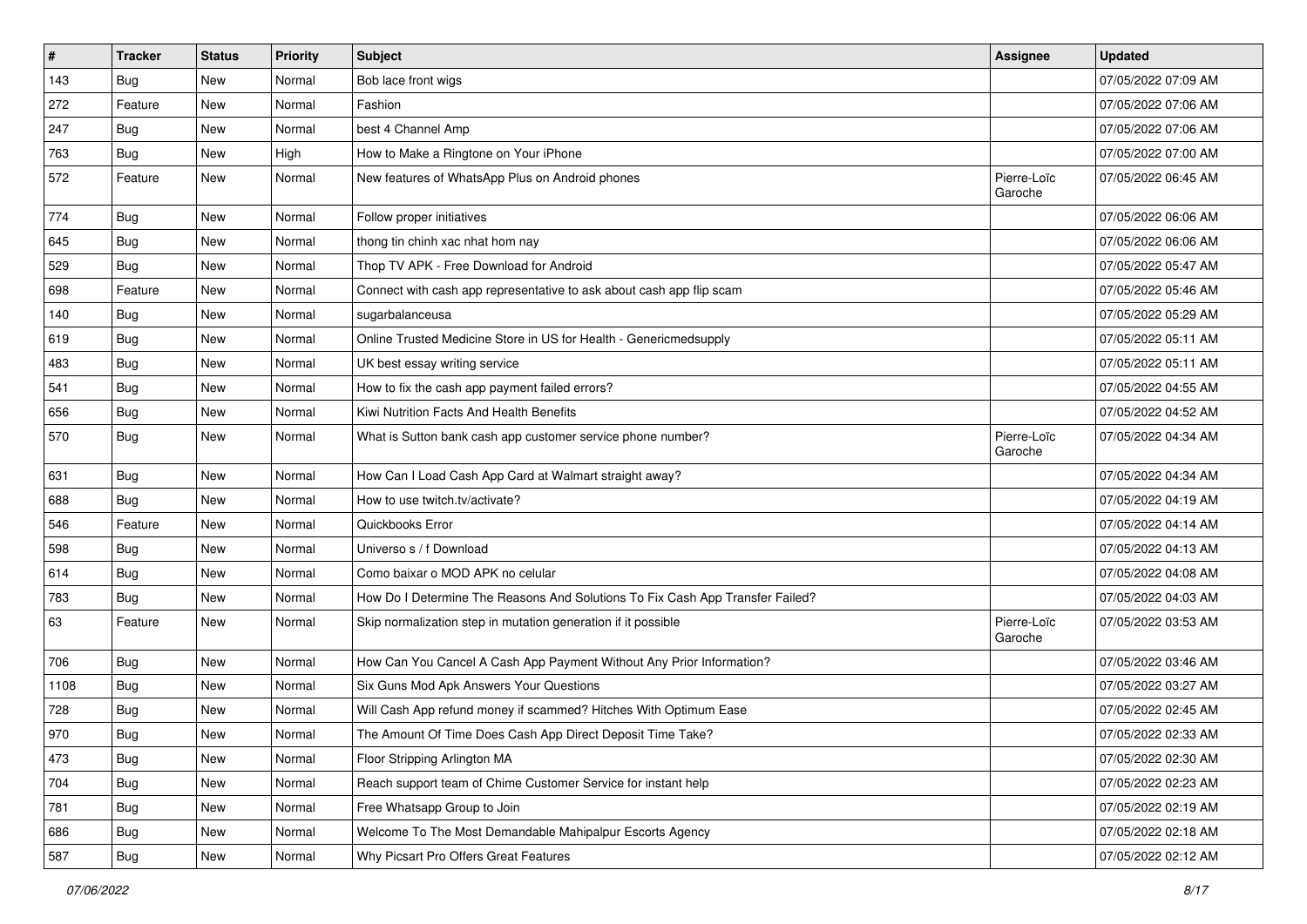| $\sharp$ | <b>Tracker</b> | <b>Status</b> | <b>Priority</b> | Subject                                                                       | <b>Assignee</b>        | <b>Updated</b>      |
|----------|----------------|---------------|-----------------|-------------------------------------------------------------------------------|------------------------|---------------------|
| 143      | <b>Bug</b>     | New           | Normal          | Bob lace front wigs                                                           |                        | 07/05/2022 07:09 AM |
| 272      | Feature        | <b>New</b>    | Normal          | Fashion                                                                       |                        | 07/05/2022 07:06 AM |
| 247      | Bug            | New           | Normal          | best 4 Channel Amp                                                            |                        | 07/05/2022 07:06 AM |
| 763      | <b>Bug</b>     | New           | High            | How to Make a Ringtone on Your iPhone                                         |                        | 07/05/2022 07:00 AM |
| 572      | Feature        | New           | Normal          | New features of WhatsApp Plus on Android phones                               | Pierre-Loïc<br>Garoche | 07/05/2022 06:45 AM |
| 774      | Bug            | New           | Normal          | Follow proper initiatives                                                     |                        | 07/05/2022 06:06 AM |
| 645      | Bug            | New           | Normal          | thong tin chinh xac nhat hom nay                                              |                        | 07/05/2022 06:06 AM |
| 529      | <b>Bug</b>     | New           | Normal          | Thop TV APK - Free Download for Android                                       |                        | 07/05/2022 05:47 AM |
| 698      | Feature        | New           | Normal          | Connect with cash app representative to ask about cash app flip scam          |                        | 07/05/2022 05:46 AM |
| 140      | <b>Bug</b>     | New           | Normal          | sugarbalanceusa                                                               |                        | 07/05/2022 05:29 AM |
| 619      | Bug            | New           | Normal          | Online Trusted Medicine Store in US for Health - Genericmedsupply             |                        | 07/05/2022 05:11 AM |
| 483      | <b>Bug</b>     | New           | Normal          | UK best essay writing service                                                 |                        | 07/05/2022 05:11 AM |
| 541      | Bug            | New           | Normal          | How to fix the cash app payment failed errors?                                |                        | 07/05/2022 04:55 AM |
| 656      | Bug            | New           | Normal          | Kiwi Nutrition Facts And Health Benefits                                      |                        | 07/05/2022 04:52 AM |
| 570      | Bug            | New           | Normal          | What is Sutton bank cash app customer service phone number?                   | Pierre-Loïc<br>Garoche | 07/05/2022 04:34 AM |
| 631      | Bug            | New           | Normal          | How Can I Load Cash App Card at Walmart straight away?                        |                        | 07/05/2022 04:34 AM |
| 688      | <b>Bug</b>     | New           | Normal          | How to use twitch.tv/activate?                                                |                        | 07/05/2022 04:19 AM |
| 546      | Feature        | New           | Normal          | Quickbooks Error                                                              |                        | 07/05/2022 04:14 AM |
| 598      | <b>Bug</b>     | New           | Normal          | Universo s / f Download                                                       |                        | 07/05/2022 04:13 AM |
| 614      | Bug            | New           | Normal          | Como baixar o MOD APK no celular                                              |                        | 07/05/2022 04:08 AM |
| 783      | <b>Bug</b>     | New           | Normal          | How Do I Determine The Reasons And Solutions To Fix Cash App Transfer Failed? |                        | 07/05/2022 04:03 AM |
| 63       | Feature        | New           | Normal          | Skip normalization step in mutation generation if it possible                 | Pierre-Loïc<br>Garoche | 07/05/2022 03:53 AM |
| 706      | Bug            | <b>New</b>    | Normal          | How Can You Cancel A Cash App Payment Without Any Prior Information?          |                        | 07/05/2022 03:46 AM |
| 1108     | <b>Bug</b>     | New           | Normal          | Six Guns Mod Apk Answers Your Questions                                       |                        | 07/05/2022 03:27 AM |
| 728      | <b>Bug</b>     | New           | Normal          | Will Cash App refund money if scammed? Hitches With Optimum Ease              |                        | 07/05/2022 02:45 AM |
| 970      | <b>Bug</b>     | New           | Normal          | The Amount Of Time Does Cash App Direct Deposit Time Take?                    |                        | 07/05/2022 02:33 AM |
| 473      | <b>Bug</b>     | New           | Normal          | Floor Stripping Arlington MA                                                  |                        | 07/05/2022 02:30 AM |
| 704      | Bug            | New           | Normal          | Reach support team of Chime Customer Service for instant help                 |                        | 07/05/2022 02:23 AM |
| 781      | <b>Bug</b>     | New           | Normal          | Free Whatsapp Group to Join                                                   |                        | 07/05/2022 02:19 AM |
| 686      | <b>Bug</b>     | New           | Normal          | Welcome To The Most Demandable Mahipalpur Escorts Agency                      |                        | 07/05/2022 02:18 AM |
| 587      | Bug            | New           | Normal          | Why Picsart Pro Offers Great Features                                         |                        | 07/05/2022 02:12 AM |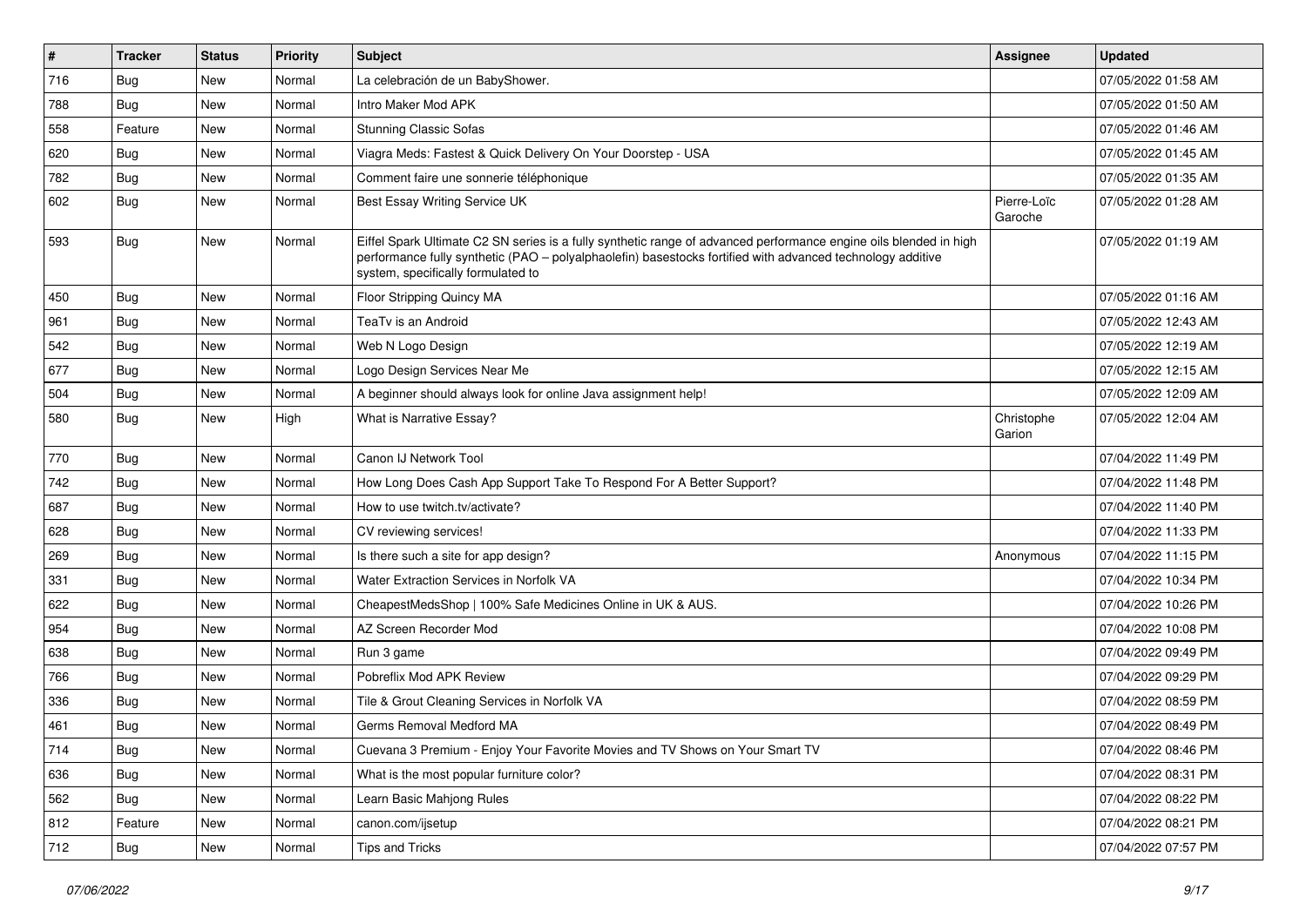| $\vert$ # | <b>Tracker</b> | <b>Status</b> | <b>Priority</b> | <b>Subject</b>                                                                                                                                                                                                                                                        | Assignee               | <b>Updated</b>      |
|-----------|----------------|---------------|-----------------|-----------------------------------------------------------------------------------------------------------------------------------------------------------------------------------------------------------------------------------------------------------------------|------------------------|---------------------|
| 716       | Bug            | New           | Normal          | La celebración de un BabyShower.                                                                                                                                                                                                                                      |                        | 07/05/2022 01:58 AM |
| 788       | Bug            | <b>New</b>    | Normal          | Intro Maker Mod APK                                                                                                                                                                                                                                                   |                        | 07/05/2022 01:50 AM |
| 558       | Feature        | New           | Normal          | <b>Stunning Classic Sofas</b>                                                                                                                                                                                                                                         |                        | 07/05/2022 01:46 AM |
| 620       | Bug            | New           | Normal          | Viagra Meds: Fastest & Quick Delivery On Your Doorstep - USA                                                                                                                                                                                                          |                        | 07/05/2022 01:45 AM |
| 782       | Bug            | New           | Normal          | Comment faire une sonnerie téléphonique                                                                                                                                                                                                                               |                        | 07/05/2022 01:35 AM |
| 602       | <b>Bug</b>     | New           | Normal          | Best Essay Writing Service UK                                                                                                                                                                                                                                         | Pierre-Loïc<br>Garoche | 07/05/2022 01:28 AM |
| 593       | Bug            | New           | Normal          | Eiffel Spark Ultimate C2 SN series is a fully synthetic range of advanced performance engine oils blended in high<br>performance fully synthetic (PAO – polyalphaolefin) basestocks fortified with advanced technology additive<br>system, specifically formulated to |                        | 07/05/2022 01:19 AM |
| 450       | Bug            | New           | Normal          | Floor Stripping Quincy MA                                                                                                                                                                                                                                             |                        | 07/05/2022 01:16 AM |
| 961       | <b>Bug</b>     | <b>New</b>    | Normal          | TeaTv is an Android                                                                                                                                                                                                                                                   |                        | 07/05/2022 12:43 AM |
| 542       | Bug            | New           | Normal          | Web N Logo Design                                                                                                                                                                                                                                                     |                        | 07/05/2022 12:19 AM |
| 677       | Bug            | New           | Normal          | Logo Design Services Near Me                                                                                                                                                                                                                                          |                        | 07/05/2022 12:15 AM |
| 504       | Bug            | New           | Normal          | A beginner should always look for online Java assignment help!                                                                                                                                                                                                        |                        | 07/05/2022 12:09 AM |
| 580       | Bug            | New           | High            | What is Narrative Essay?                                                                                                                                                                                                                                              | Christophe<br>Garion   | 07/05/2022 12:04 AM |
| 770       | Bug            | <b>New</b>    | Normal          | Canon IJ Network Tool                                                                                                                                                                                                                                                 |                        | 07/04/2022 11:49 PM |
| 742       | Bug            | New           | Normal          | How Long Does Cash App Support Take To Respond For A Better Support?                                                                                                                                                                                                  |                        | 07/04/2022 11:48 PM |
| 687       | <b>Bug</b>     | <b>New</b>    | Normal          | How to use twitch.tv/activate?                                                                                                                                                                                                                                        |                        | 07/04/2022 11:40 PM |
| 628       | Bug            | New           | Normal          | CV reviewing services!                                                                                                                                                                                                                                                |                        | 07/04/2022 11:33 PM |
| 269       | Bug            | New           | Normal          | Is there such a site for app design?                                                                                                                                                                                                                                  | Anonymous              | 07/04/2022 11:15 PM |
| 331       | Bug            | <b>New</b>    | Normal          | Water Extraction Services in Norfolk VA                                                                                                                                                                                                                               |                        | 07/04/2022 10:34 PM |
| 622       | <b>Bug</b>     | New           | Normal          | CheapestMedsShop   100% Safe Medicines Online in UK & AUS.                                                                                                                                                                                                            |                        | 07/04/2022 10:26 PM |
| 954       | <b>Bug</b>     | New           | Normal          | AZ Screen Recorder Mod                                                                                                                                                                                                                                                |                        | 07/04/2022 10:08 PM |
| 638       | Bug            | New           | Normal          | Run 3 game                                                                                                                                                                                                                                                            |                        | 07/04/2022 09:49 PM |
| 766       | Bug            | New           | Normal          | Pobreflix Mod APK Review                                                                                                                                                                                                                                              |                        | 07/04/2022 09:29 PM |
| 336       | <b>Bug</b>     | New           | Normal          | Tile & Grout Cleaning Services in Norfolk VA                                                                                                                                                                                                                          |                        | 07/04/2022 08:59 PM |
| 461       | <b>Bug</b>     | <b>New</b>    | Normal          | Germs Removal Medford MA                                                                                                                                                                                                                                              |                        | 07/04/2022 08:49 PM |
| 714       | <b>Bug</b>     | New           | Normal          | Cuevana 3 Premium - Enjoy Your Favorite Movies and TV Shows on Your Smart TV                                                                                                                                                                                          |                        | 07/04/2022 08:46 PM |
| 636       | Bug            | New           | Normal          | What is the most popular furniture color?                                                                                                                                                                                                                             |                        | 07/04/2022 08:31 PM |
| 562       | <b>Bug</b>     | New           | Normal          | Learn Basic Mahjong Rules                                                                                                                                                                                                                                             |                        | 07/04/2022 08:22 PM |
| 812       | Feature        | New           | Normal          | canon.com/ijsetup                                                                                                                                                                                                                                                     |                        | 07/04/2022 08:21 PM |
| 712       | Bug            | New           | Normal          | <b>Tips and Tricks</b>                                                                                                                                                                                                                                                |                        | 07/04/2022 07:57 PM |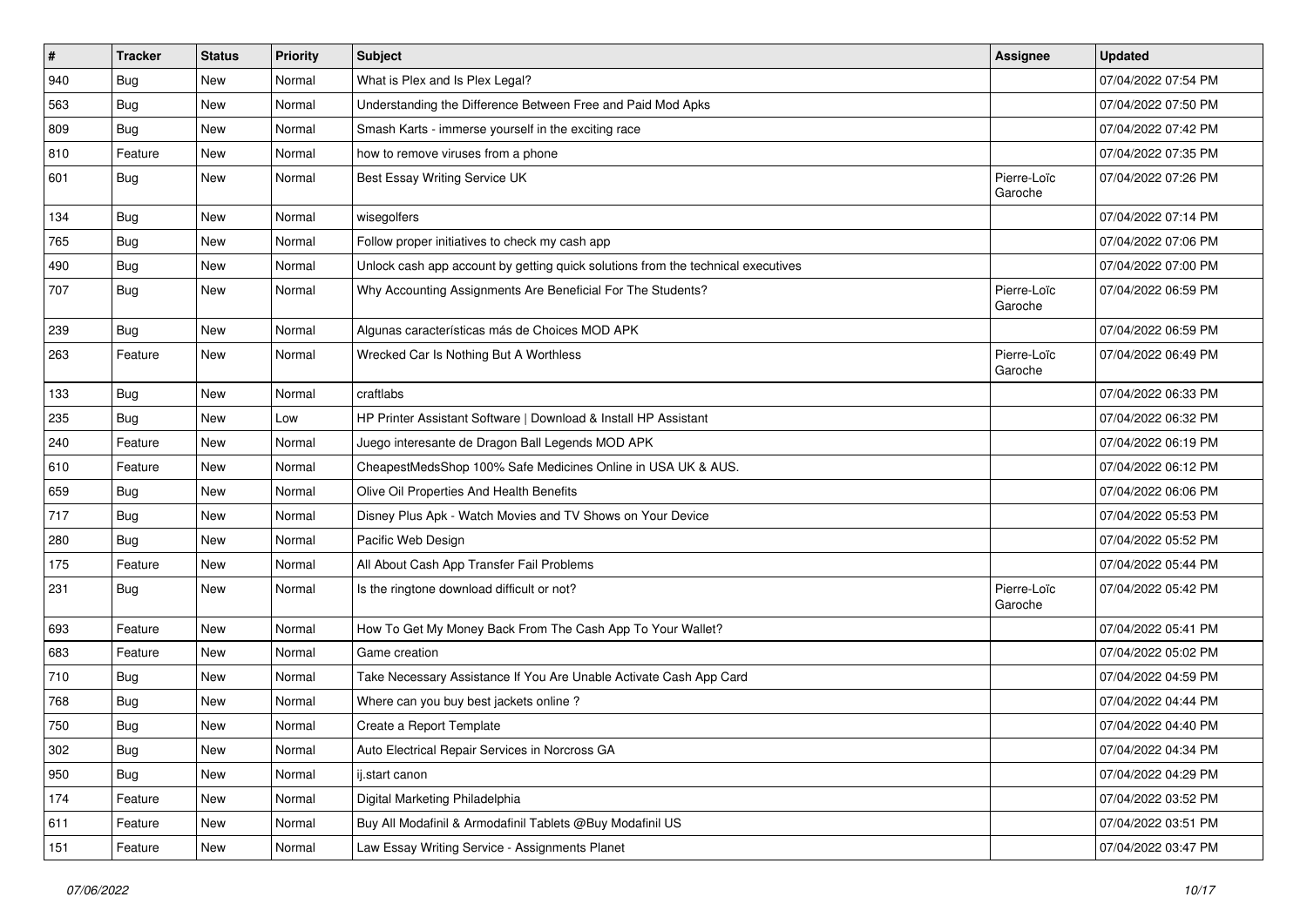| $\pmb{\#}$ | <b>Tracker</b> | <b>Status</b> | <b>Priority</b> | <b>Subject</b>                                                                   | <b>Assignee</b>        | <b>Updated</b>      |
|------------|----------------|---------------|-----------------|----------------------------------------------------------------------------------|------------------------|---------------------|
| 940        | <b>Bug</b>     | New           | Normal          | What is Plex and Is Plex Legal?                                                  |                        | 07/04/2022 07:54 PM |
| 563        | Bug            | New           | Normal          | Understanding the Difference Between Free and Paid Mod Apks                      |                        | 07/04/2022 07:50 PM |
| 809        | <b>Bug</b>     | New           | Normal          | Smash Karts - immerse yourself in the exciting race                              |                        | 07/04/2022 07:42 PM |
| 810        | Feature        | New           | Normal          | how to remove viruses from a phone                                               |                        | 07/04/2022 07:35 PM |
| 601        | Bug            | New           | Normal          | Best Essay Writing Service UK                                                    | Pierre-Loïc<br>Garoche | 07/04/2022 07:26 PM |
| 134        | Bug            | New           | Normal          | wisegolfers                                                                      |                        | 07/04/2022 07:14 PM |
| 765        | Bug            | New           | Normal          | Follow proper initiatives to check my cash app                                   |                        | 07/04/2022 07:06 PM |
| 490        | <b>Bug</b>     | New           | Normal          | Unlock cash app account by getting quick solutions from the technical executives |                        | 07/04/2022 07:00 PM |
| 707        | <b>Bug</b>     | New           | Normal          | Why Accounting Assignments Are Beneficial For The Students?                      | Pierre-Loïc<br>Garoche | 07/04/2022 06:59 PM |
| 239        | Bug            | New           | Normal          | Algunas características más de Choices MOD APK                                   |                        | 07/04/2022 06:59 PM |
| 263        | Feature        | New           | Normal          | Wrecked Car Is Nothing But A Worthless                                           | Pierre-Loïc<br>Garoche | 07/04/2022 06:49 PM |
| 133        | Bug            | New           | Normal          | craftlabs                                                                        |                        | 07/04/2022 06:33 PM |
| 235        | Bug            | New           | Low             | HP Printer Assistant Software   Download & Install HP Assistant                  |                        | 07/04/2022 06:32 PM |
| 240        | Feature        | New           | Normal          | Juego interesante de Dragon Ball Legends MOD APK                                 |                        | 07/04/2022 06:19 PM |
| 610        | Feature        | New           | Normal          | CheapestMedsShop 100% Safe Medicines Online in USA UK & AUS.                     |                        | 07/04/2022 06:12 PM |
| 659        | <b>Bug</b>     | New           | Normal          | Olive Oil Properties And Health Benefits                                         |                        | 07/04/2022 06:06 PM |
| 717        | Bug            | New           | Normal          | Disney Plus Apk - Watch Movies and TV Shows on Your Device                       |                        | 07/04/2022 05:53 PM |
| 280        | Bug            | New           | Normal          | Pacific Web Design                                                               |                        | 07/04/2022 05:52 PM |
| 175        | Feature        | New           | Normal          | All About Cash App Transfer Fail Problems                                        |                        | 07/04/2022 05:44 PM |
| 231        | <b>Bug</b>     | New           | Normal          | Is the ringtone download difficult or not?                                       | Pierre-Loïc<br>Garoche | 07/04/2022 05:42 PM |
| 693        | Feature        | New           | Normal          | How To Get My Money Back From The Cash App To Your Wallet?                       |                        | 07/04/2022 05:41 PM |
| 683        | Feature        | New           | Normal          | Game creation                                                                    |                        | 07/04/2022 05:02 PM |
| 710        | <b>Bug</b>     | New           | Normal          | Take Necessary Assistance If You Are Unable Activate Cash App Card               |                        | 07/04/2022 04:59 PM |
| 768        | Bug            | New           | Normal          | Where can you buy best jackets online?                                           |                        | 07/04/2022 04:44 PM |
| 750        | <b>Bug</b>     | New           | Normal          | Create a Report Template                                                         |                        | 07/04/2022 04:40 PM |
| 302        | <b>Bug</b>     | New           | Normal          | Auto Electrical Repair Services in Norcross GA                                   |                        | 07/04/2022 04:34 PM |
| 950        | Bug            | New           | Normal          | ij.start canon                                                                   |                        | 07/04/2022 04:29 PM |
| 174        | Feature        | New           | Normal          | Digital Marketing Philadelphia                                                   |                        | 07/04/2022 03:52 PM |
| 611        | Feature        | New           | Normal          | Buy All Modafinil & Armodafinil Tablets @Buy Modafinil US                        |                        | 07/04/2022 03:51 PM |
| 151        | Feature        | New           | Normal          | Law Essay Writing Service - Assignments Planet                                   |                        | 07/04/2022 03:47 PM |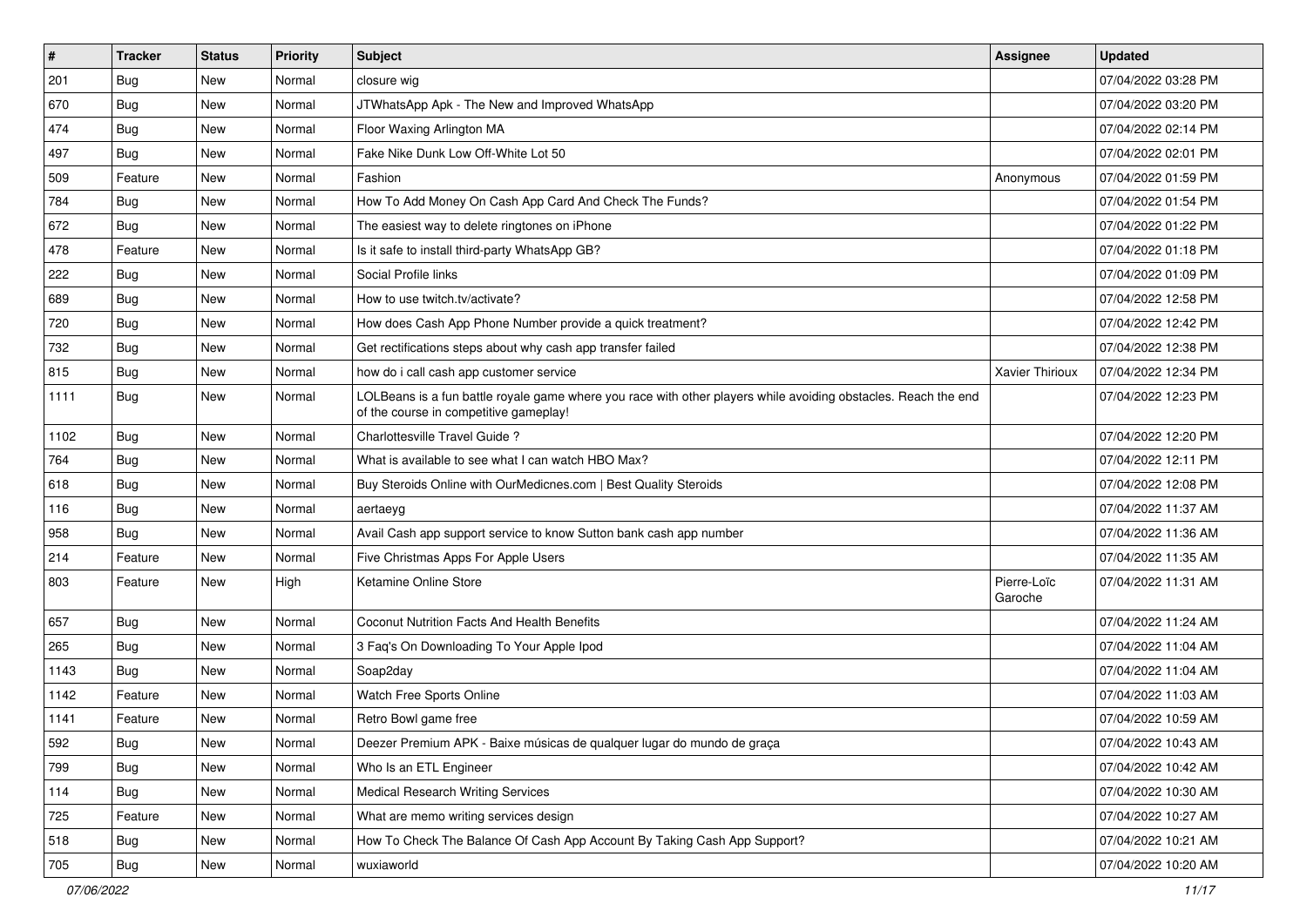| $\vert$ # | <b>Tracker</b> | <b>Status</b> | <b>Priority</b> | Subject                                                                                                                                                  | <b>Assignee</b>        | <b>Updated</b>      |
|-----------|----------------|---------------|-----------------|----------------------------------------------------------------------------------------------------------------------------------------------------------|------------------------|---------------------|
| 201       | <b>Bug</b>     | New           | Normal          | closure wig                                                                                                                                              |                        | 07/04/2022 03:28 PM |
| 670       | <b>Bug</b>     | New           | Normal          | JTWhatsApp Apk - The New and Improved WhatsApp                                                                                                           |                        | 07/04/2022 03:20 PM |
| 474       | Bug            | New           | Normal          | Floor Waxing Arlington MA                                                                                                                                |                        | 07/04/2022 02:14 PM |
| 497       | <b>Bug</b>     | <b>New</b>    | Normal          | Fake Nike Dunk Low Off-White Lot 50                                                                                                                      |                        | 07/04/2022 02:01 PM |
| 509       | Feature        | New           | Normal          | Fashion                                                                                                                                                  | Anonymous              | 07/04/2022 01:59 PM |
| 784       | <b>Bug</b>     | New           | Normal          | How To Add Money On Cash App Card And Check The Funds?                                                                                                   |                        | 07/04/2022 01:54 PM |
| 672       | Bug            | New           | Normal          | The easiest way to delete ringtones on iPhone                                                                                                            |                        | 07/04/2022 01:22 PM |
| 478       | Feature        | New           | Normal          | Is it safe to install third-party WhatsApp GB?                                                                                                           |                        | 07/04/2022 01:18 PM |
| 222       | <b>Bug</b>     | New           | Normal          | Social Profile links                                                                                                                                     |                        | 07/04/2022 01:09 PM |
| 689       | Bug            | New           | Normal          | How to use twitch.tv/activate?                                                                                                                           |                        | 07/04/2022 12:58 PM |
| 720       | <b>Bug</b>     | New           | Normal          | How does Cash App Phone Number provide a quick treatment?                                                                                                |                        | 07/04/2022 12:42 PM |
| 732       | Bug            | New           | Normal          | Get rectifications steps about why cash app transfer failed                                                                                              |                        | 07/04/2022 12:38 PM |
| 815       | Bug            | <b>New</b>    | Normal          | how do i call cash app customer service                                                                                                                  | Xavier Thirioux        | 07/04/2022 12:34 PM |
| 1111      | Bug            | New           | Normal          | LOLBeans is a fun battle royale game where you race with other players while avoiding obstacles. Reach the end<br>of the course in competitive gameplay! |                        | 07/04/2022 12:23 PM |
| 1102      | <b>Bug</b>     | New           | Normal          | Charlottesville Travel Guide?                                                                                                                            |                        | 07/04/2022 12:20 PM |
| 764       | Bug            | <b>New</b>    | Normal          | What is available to see what I can watch HBO Max?                                                                                                       |                        | 07/04/2022 12:11 PM |
| 618       | Bug            | New           | Normal          | Buy Steroids Online with OurMedicnes.com   Best Quality Steroids                                                                                         |                        | 07/04/2022 12:08 PM |
| 116       | Bug            | New           | Normal          | aertaeyg                                                                                                                                                 |                        | 07/04/2022 11:37 AM |
| 958       | <b>Bug</b>     | New           | Normal          | Avail Cash app support service to know Sutton bank cash app number                                                                                       |                        | 07/04/2022 11:36 AM |
| 214       | Feature        | <b>New</b>    | Normal          | Five Christmas Apps For Apple Users                                                                                                                      |                        | 07/04/2022 11:35 AM |
| 803       | Feature        | New           | High            | Ketamine Online Store                                                                                                                                    | Pierre-Loïc<br>Garoche | 07/04/2022 11:31 AM |
| 657       | Bug            | New           | Normal          | Coconut Nutrition Facts And Health Benefits                                                                                                              |                        | 07/04/2022 11:24 AM |
| 265       | <b>Bug</b>     | <b>New</b>    | Normal          | 3 Faq's On Downloading To Your Apple Ipod                                                                                                                |                        | 07/04/2022 11:04 AM |
| 1143      | Bug            | New           | Normal          | Soap2day                                                                                                                                                 |                        | 07/04/2022 11:04 AM |
| 1142      | Feature        | New           | Normal          | Watch Free Sports Online                                                                                                                                 |                        | 07/04/2022 11:03 AM |
| 1141      | Feature        | New           | Normal          | Retro Bowl game free                                                                                                                                     |                        | 07/04/2022 10:59 AM |
| 592       | Bug            | New           | Normal          | Deezer Premium APK - Baixe músicas de qualquer lugar do mundo de graça                                                                                   |                        | 07/04/2022 10:43 AM |
| 799       | Bug            | New           | Normal          | Who Is an ETL Engineer                                                                                                                                   |                        | 07/04/2022 10:42 AM |
| 114       | Bug            | New           | Normal          | <b>Medical Research Writing Services</b>                                                                                                                 |                        | 07/04/2022 10:30 AM |
| 725       | Feature        | New           | Normal          | What are memo writing services design                                                                                                                    |                        | 07/04/2022 10:27 AM |
| 518       | Bug            | New           | Normal          | How To Check The Balance Of Cash App Account By Taking Cash App Support?                                                                                 |                        | 07/04/2022 10:21 AM |
| 705       | Bug            | New           | Normal          | wuxiaworld                                                                                                                                               |                        | 07/04/2022 10:20 AM |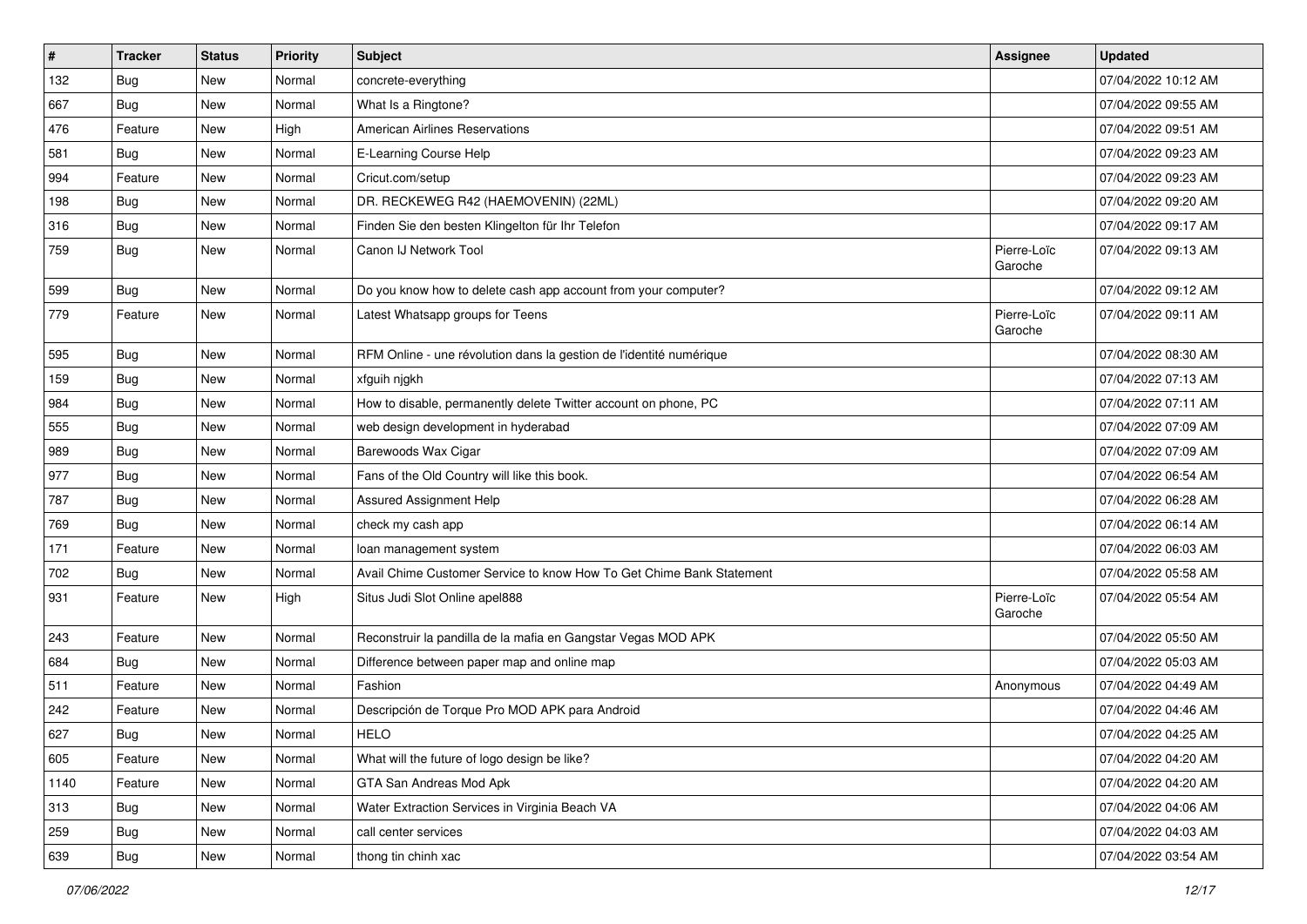| $\sharp$   | <b>Tracker</b> | <b>Status</b> | <b>Priority</b> | Subject                                                              | <b>Assignee</b>        | <b>Updated</b>      |
|------------|----------------|---------------|-----------------|----------------------------------------------------------------------|------------------------|---------------------|
| 132        | <b>Bug</b>     | New           | Normal          | concrete-everything                                                  |                        | 07/04/2022 10:12 AM |
| 667        | <b>Bug</b>     | New           | Normal          | What Is a Ringtone?                                                  |                        | 07/04/2022 09:55 AM |
| 476        | Feature        | New           | High            | American Airlines Reservations                                       |                        | 07/04/2022 09:51 AM |
| 581        | <b>Bug</b>     | <b>New</b>    | Normal          | E-Learning Course Help                                               |                        | 07/04/2022 09:23 AM |
| 994        | Feature        | New           | Normal          | Cricut.com/setup                                                     |                        | 07/04/2022 09:23 AM |
| 198        | <b>Bug</b>     | New           | Normal          | DR. RECKEWEG R42 (HAEMOVENIN) (22ML)                                 |                        | 07/04/2022 09:20 AM |
| 316        | Bug            | New           | Normal          | Finden Sie den besten Klingelton für Ihr Telefon                     |                        | 07/04/2022 09:17 AM |
| 759        | Bug            | New           | Normal          | Canon IJ Network Tool                                                | Pierre-Loïc<br>Garoche | 07/04/2022 09:13 AM |
| 599        | <b>Bug</b>     | <b>New</b>    | Normal          | Do you know how to delete cash app account from your computer?       |                        | 07/04/2022 09:12 AM |
| 779        | Feature        | New           | Normal          | Latest Whatsapp groups for Teens                                     | Pierre-Loïc<br>Garoche | 07/04/2022 09:11 AM |
| 595        | Bug            | New           | Normal          | RFM Online - une révolution dans la gestion de l'identité numérique  |                        | 07/04/2022 08:30 AM |
| 159        | <b>Bug</b>     | New           | Normal          | xfguih njgkh                                                         |                        | 07/04/2022 07:13 AM |
| 984        | Bug            | New           | Normal          | How to disable, permanently delete Twitter account on phone, PC      |                        | 07/04/2022 07:11 AM |
| 555        | Bug            | New           | Normal          | web design development in hyderabad                                  |                        | 07/04/2022 07:09 AM |
| 989        | <b>Bug</b>     | <b>New</b>    | Normal          | Barewoods Wax Cigar                                                  |                        | 07/04/2022 07:09 AM |
| 977        | Bug            | New           | Normal          | Fans of the Old Country will like this book.                         |                        | 07/04/2022 06:54 AM |
| 787        | <b>Bug</b>     | New           | Normal          | Assured Assignment Help                                              |                        | 07/04/2022 06:28 AM |
| 769        | <b>Bug</b>     | New           | Normal          | check my cash app                                                    |                        | 07/04/2022 06:14 AM |
| 171        | Feature        | New           | Normal          | loan management system                                               |                        | 07/04/2022 06:03 AM |
| 702        | <b>Bug</b>     | New           | Normal          | Avail Chime Customer Service to know How To Get Chime Bank Statement |                        | 07/04/2022 05:58 AM |
| 931        | Feature        | New           | High            | Situs Judi Slot Online apel888                                       | Pierre-Loïc<br>Garoche | 07/04/2022 05:54 AM |
| 243        | Feature        | New           | Normal          | Reconstruir la pandilla de la mafia en Gangstar Vegas MOD APK        |                        | 07/04/2022 05:50 AM |
| 684        | Bug            | New           | Normal          | Difference between paper map and online map                          |                        | 07/04/2022 05:03 AM |
| 511        | Feature        | New           | Normal          | Fashion                                                              | Anonymous              | 07/04/2022 04:49 AM |
| 242        | Feature        | New           | Normal          | Descripción de Torque Pro MOD APK para Android                       |                        | 07/04/2022 04:46 AM |
| 627<br>~~~ | Bug            | New           | Normal          | <b>HELO</b>                                                          |                        | 07/04/2022 04:25 AM |
| 605        | Feature        | New           | Normal          | What will the future of logo design be like?                         |                        | 07/04/2022 04:20 AM |
| 1140       | Feature        | New           | Normal          | GTA San Andreas Mod Apk                                              |                        | 07/04/2022 04:20 AM |
| 313        | <b>Bug</b>     | New           | Normal          | Water Extraction Services in Virginia Beach VA                       |                        | 07/04/2022 04:06 AM |
| 259        | <b>Bug</b>     | New           | Normal          | call center services                                                 |                        | 07/04/2022 04:03 AM |
| 639        | <b>Bug</b>     | New           | Normal          | thong tin chinh xac                                                  |                        | 07/04/2022 03:54 AM |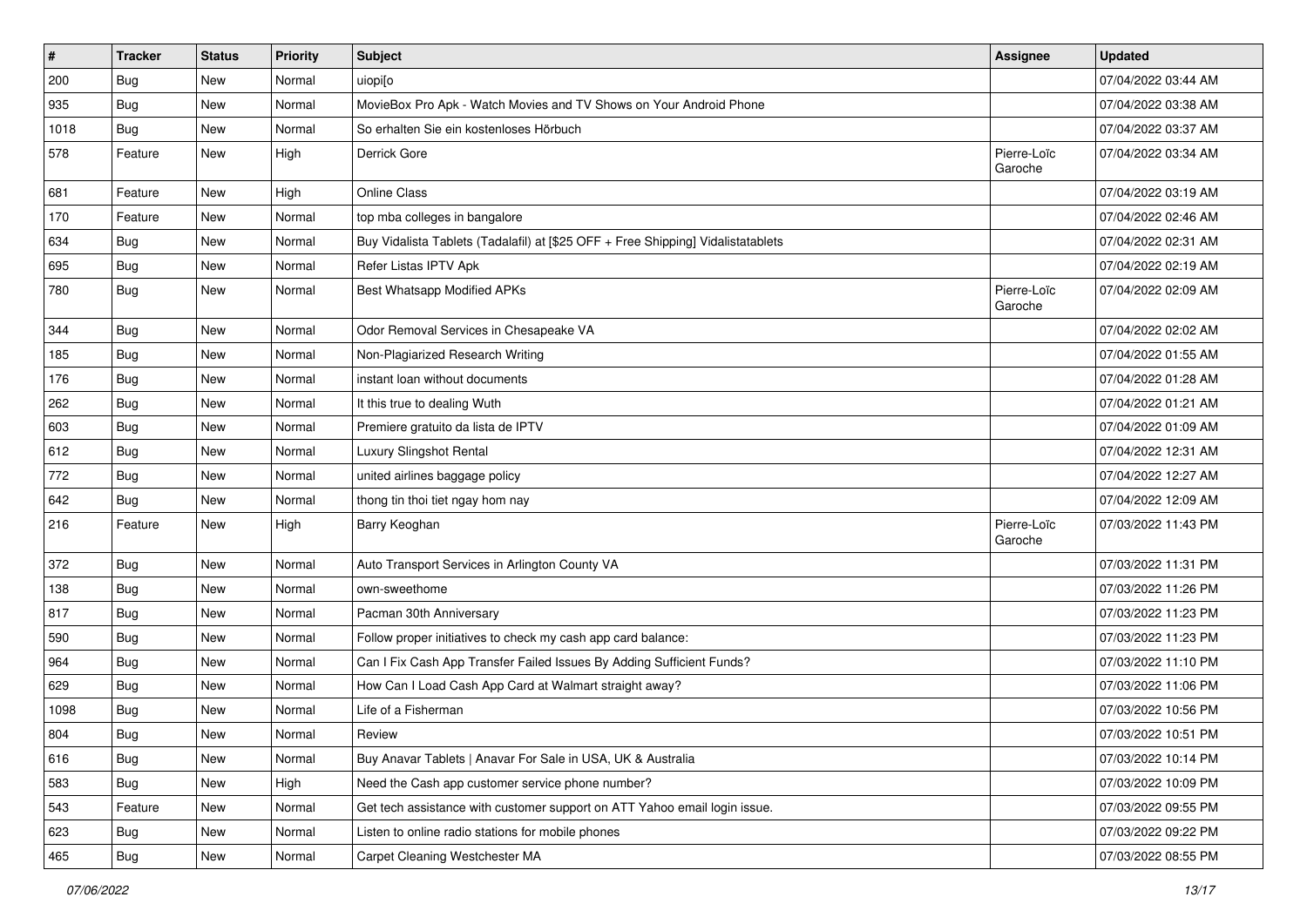| #    | <b>Tracker</b> | <b>Status</b> | <b>Priority</b> | <b>Subject</b>                                                                   | <b>Assignee</b>        | <b>Updated</b>      |
|------|----------------|---------------|-----------------|----------------------------------------------------------------------------------|------------------------|---------------------|
| 200  | <b>Bug</b>     | New           | Normal          | uiopi[o                                                                          |                        | 07/04/2022 03:44 AM |
| 935  | Bug            | New           | Normal          | MovieBox Pro Apk - Watch Movies and TV Shows on Your Android Phone               |                        | 07/04/2022 03:38 AM |
| 1018 | Bug            | New           | Normal          | So erhalten Sie ein kostenloses Hörbuch                                          |                        | 07/04/2022 03:37 AM |
| 578  | Feature        | New           | High            | Derrick Gore                                                                     | Pierre-Loïc<br>Garoche | 07/04/2022 03:34 AM |
| 681  | Feature        | New           | High            | <b>Online Class</b>                                                              |                        | 07/04/2022 03:19 AM |
| 170  | Feature        | New           | Normal          | top mba colleges in bangalore                                                    |                        | 07/04/2022 02:46 AM |
| 634  | Bug            | New           | Normal          | Buy Vidalista Tablets (Tadalafil) at [\$25 OFF + Free Shipping] Vidalistatablets |                        | 07/04/2022 02:31 AM |
| 695  | Bug            | New           | Normal          | Refer Listas IPTV Apk                                                            |                        | 07/04/2022 02:19 AM |
| 780  | <b>Bug</b>     | New           | Normal          | Best Whatsapp Modified APKs                                                      | Pierre-Loïc<br>Garoche | 07/04/2022 02:09 AM |
| 344  | Bug            | New           | Normal          | Odor Removal Services in Chesapeake VA                                           |                        | 07/04/2022 02:02 AM |
| 185  | Bug            | New           | Normal          | Non-Plagiarized Research Writing                                                 |                        | 07/04/2022 01:55 AM |
| 176  | <b>Bug</b>     | New           | Normal          | instant loan without documents                                                   |                        | 07/04/2022 01:28 AM |
| 262  | <b>Bug</b>     | New           | Normal          | It this true to dealing Wuth                                                     |                        | 07/04/2022 01:21 AM |
| 603  | Bug            | New           | Normal          | Premiere gratuito da lista de IPTV                                               |                        | 07/04/2022 01:09 AM |
| 612  | <b>Bug</b>     | New           | Normal          | Luxury Slingshot Rental                                                          |                        | 07/04/2022 12:31 AM |
| 772  | <b>Bug</b>     | New           | Normal          | united airlines baggage policy                                                   |                        | 07/04/2022 12:27 AM |
| 642  | Bug            | New           | Normal          | thong tin thoi tiet ngay hom nay                                                 |                        | 07/04/2022 12:09 AM |
| 216  | Feature        | New           | High            | Barry Keoghan                                                                    | Pierre-Loïc<br>Garoche | 07/03/2022 11:43 PM |
| 372  | <b>Bug</b>     | New           | Normal          | Auto Transport Services in Arlington County VA                                   |                        | 07/03/2022 11:31 PM |
| 138  | <b>Bug</b>     | New           | Normal          | own-sweethome                                                                    |                        | 07/03/2022 11:26 PM |
| 817  | Bug            | New           | Normal          | Pacman 30th Anniversary                                                          |                        | 07/03/2022 11:23 PM |
| 590  | <b>Bug</b>     | New           | Normal          | Follow proper initiatives to check my cash app card balance:                     |                        | 07/03/2022 11:23 PM |
| 964  | Bug            | New           | Normal          | Can I Fix Cash App Transfer Failed Issues By Adding Sufficient Funds?            |                        | 07/03/2022 11:10 PM |
| 629  | <b>Bug</b>     | New           | Normal          | How Can I Load Cash App Card at Walmart straight away?                           |                        | 07/03/2022 11:06 PM |
| 1098 | <b>Bug</b>     | New           | Normal          | Life of a Fisherman                                                              |                        | 07/03/2022 10:56 PM |
| 804  | Bug            | New           | Normal          | Review                                                                           |                        | 07/03/2022 10:51 PM |
| 616  | <b>Bug</b>     | New           | Normal          | Buy Anavar Tablets   Anavar For Sale in USA, UK & Australia                      |                        | 07/03/2022 10:14 PM |
| 583  | <b>Bug</b>     | New           | High            | Need the Cash app customer service phone number?                                 |                        | 07/03/2022 10:09 PM |
| 543  | Feature        | New           | Normal          | Get tech assistance with customer support on ATT Yahoo email login issue.        |                        | 07/03/2022 09:55 PM |
| 623  | Bug            | New           | Normal          | Listen to online radio stations for mobile phones                                |                        | 07/03/2022 09:22 PM |
| 465  | Bug            | New           | Normal          | Carpet Cleaning Westchester MA                                                   |                        | 07/03/2022 08:55 PM |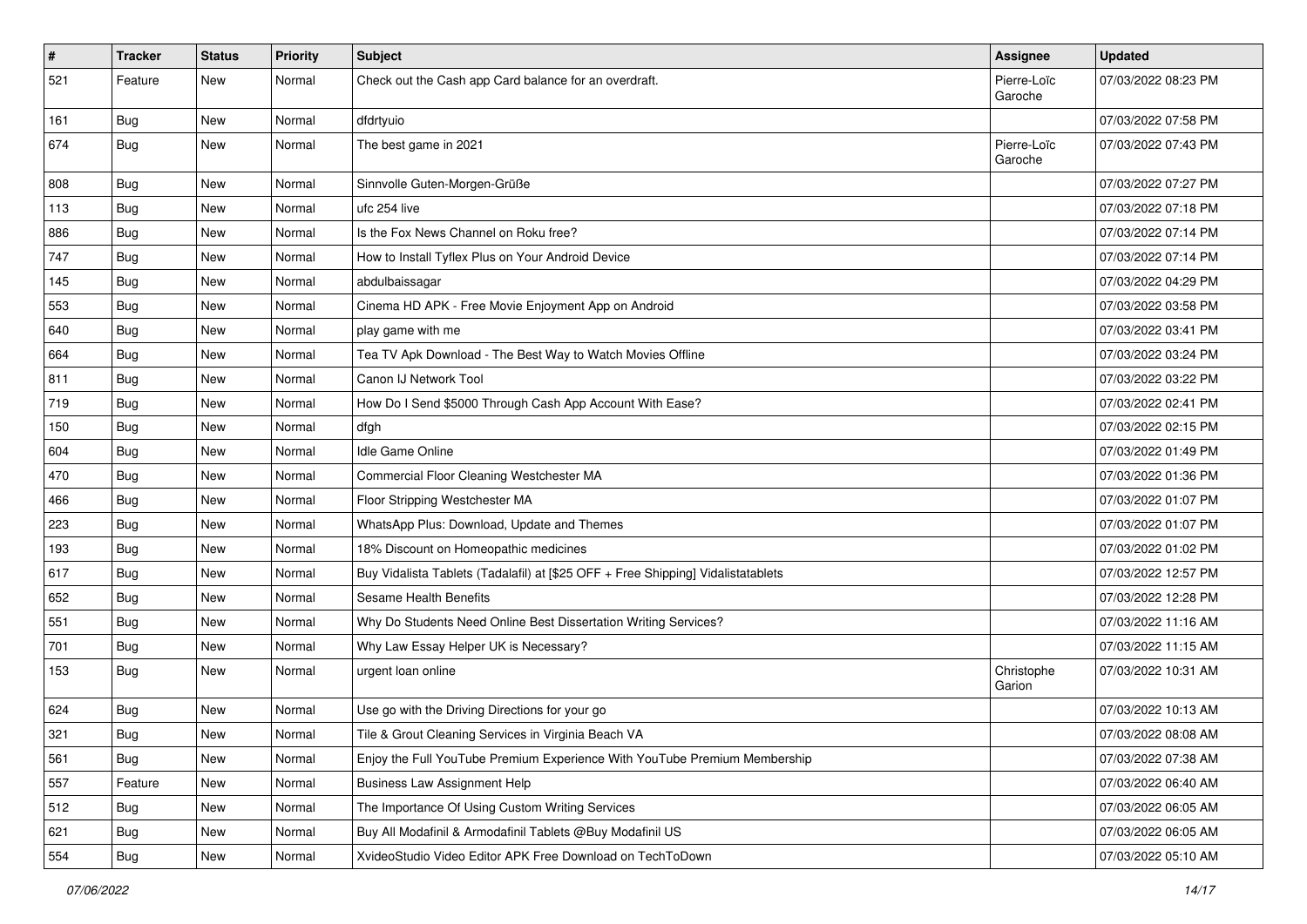| $\vert$ # | Tracker    | <b>Status</b> | <b>Priority</b> | <b>Subject</b>                                                                   | Assignee               | <b>Updated</b>      |
|-----------|------------|---------------|-----------------|----------------------------------------------------------------------------------|------------------------|---------------------|
| 521       | Feature    | New           | Normal          | Check out the Cash app Card balance for an overdraft.                            | Pierre-Loïc<br>Garoche | 07/03/2022 08:23 PM |
| 161       | <b>Bug</b> | New           | Normal          | dfdrtyuio                                                                        |                        | 07/03/2022 07:58 PM |
| 674       | Bug        | New           | Normal          | The best game in 2021                                                            | Pierre-Loïc<br>Garoche | 07/03/2022 07:43 PM |
| 808       | Bug        | New           | Normal          | Sinnvolle Guten-Morgen-Grüße                                                     |                        | 07/03/2022 07:27 PM |
| 113       | <b>Bug</b> | New           | Normal          | ufc 254 live                                                                     |                        | 07/03/2022 07:18 PM |
| 886       | Bug        | New           | Normal          | Is the Fox News Channel on Roku free?                                            |                        | 07/03/2022 07:14 PM |
| 747       | <b>Bug</b> | New           | Normal          | How to Install Tyflex Plus on Your Android Device                                |                        | 07/03/2022 07:14 PM |
| 145       | Bug        | New           | Normal          | abdulbaissagar                                                                   |                        | 07/03/2022 04:29 PM |
| 553       | <b>Bug</b> | New           | Normal          | Cinema HD APK - Free Movie Enjoyment App on Android                              |                        | 07/03/2022 03:58 PM |
| 640       | <b>Bug</b> | New           | Normal          | play game with me                                                                |                        | 07/03/2022 03:41 PM |
| 664       | Bug        | New           | Normal          | Tea TV Apk Download - The Best Way to Watch Movies Offline                       |                        | 07/03/2022 03:24 PM |
| 811       | <b>Bug</b> | New           | Normal          | Canon IJ Network Tool                                                            |                        | 07/03/2022 03:22 PM |
| 719       | Bug        | New           | Normal          | How Do I Send \$5000 Through Cash App Account With Ease?                         |                        | 07/03/2022 02:41 PM |
| 150       | <b>Bug</b> | New           | Normal          | dfgh                                                                             |                        | 07/03/2022 02:15 PM |
| 604       | <b>Bug</b> | New           | Normal          | <b>Idle Game Online</b>                                                          |                        | 07/03/2022 01:49 PM |
| 470       | Bug        | <b>New</b>    | Normal          | Commercial Floor Cleaning Westchester MA                                         |                        | 07/03/2022 01:36 PM |
| 466       | <b>Bug</b> | New           | Normal          | Floor Stripping Westchester MA                                                   |                        | 07/03/2022 01:07 PM |
| 223       | Bug        | New           | Normal          | WhatsApp Plus: Download, Update and Themes                                       |                        | 07/03/2022 01:07 PM |
| 193       | <b>Bug</b> | New           | Normal          | 18% Discount on Homeopathic medicines                                            |                        | 07/03/2022 01:02 PM |
| 617       | <b>Bug</b> | New           | Normal          | Buy Vidalista Tablets (Tadalafil) at [\$25 OFF + Free Shipping] Vidalistatablets |                        | 07/03/2022 12:57 PM |
| 652       | Bug        | New           | Normal          | Sesame Health Benefits                                                           |                        | 07/03/2022 12:28 PM |
| 551       | <b>Bug</b> | New           | Normal          | Why Do Students Need Online Best Dissertation Writing Services?                  |                        | 07/03/2022 11:16 AM |
| 701       | Bug        | New           | Normal          | Why Law Essay Helper UK is Necessary?                                            |                        | 07/03/2022 11:15 AM |
| 153       | <b>Bug</b> | New           | Normal          | urgent loan online                                                               | Christophe<br>Garion   | 07/03/2022 10:31 AM |
| 624       | <b>Bug</b> | New           | Normal          | Use go with the Driving Directions for your go                                   |                        | 07/03/2022 10:13 AM |
| 321       | Bug        | New           | Normal          | Tile & Grout Cleaning Services in Virginia Beach VA                              |                        | 07/03/2022 08:08 AM |
| 561       | Bug        | New           | Normal          | Enjoy the Full YouTube Premium Experience With YouTube Premium Membership        |                        | 07/03/2022 07:38 AM |
| 557       | Feature    | New           | Normal          | <b>Business Law Assignment Help</b>                                              |                        | 07/03/2022 06:40 AM |
| 512       | <b>Bug</b> | New           | Normal          | The Importance Of Using Custom Writing Services                                  |                        | 07/03/2022 06:05 AM |
| 621       | <b>Bug</b> | New           | Normal          | Buy All Modafinil & Armodafinil Tablets @Buy Modafinil US                        |                        | 07/03/2022 06:05 AM |
| 554       | Bug        | New           | Normal          | XvideoStudio Video Editor APK Free Download on TechToDown                        |                        | 07/03/2022 05:10 AM |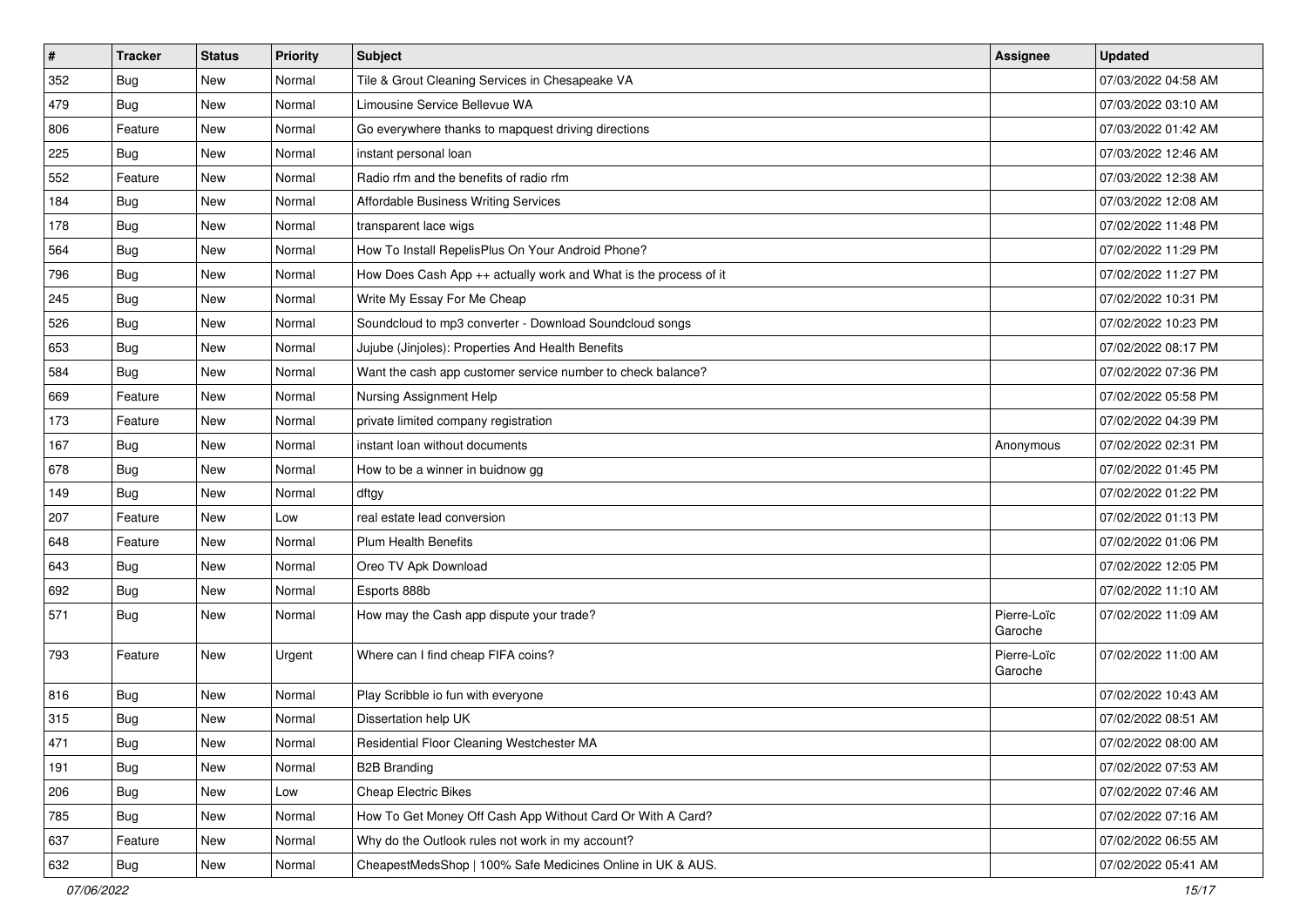| $\sharp$ | <b>Tracker</b> | <b>Status</b> | <b>Priority</b> | <b>Subject</b>                                                   | <b>Assignee</b>        | <b>Updated</b>      |
|----------|----------------|---------------|-----------------|------------------------------------------------------------------|------------------------|---------------------|
| 352      | <b>Bug</b>     | New           | Normal          | Tile & Grout Cleaning Services in Chesapeake VA                  |                        | 07/03/2022 04:58 AM |
| 479      | <b>Bug</b>     | <b>New</b>    | Normal          | Limousine Service Bellevue WA                                    |                        | 07/03/2022 03:10 AM |
| 806      | Feature        | New           | Normal          | Go everywhere thanks to mapquest driving directions              |                        | 07/03/2022 01:42 AM |
| 225      | <b>Bug</b>     | New           | Normal          | instant personal loan                                            |                        | 07/03/2022 12:46 AM |
| 552      | Feature        | New           | Normal          | Radio rfm and the benefits of radio rfm                          |                        | 07/03/2022 12:38 AM |
| 184      | <b>Bug</b>     | New           | Normal          | <b>Affordable Business Writing Services</b>                      |                        | 07/03/2022 12:08 AM |
| 178      | Bug            | New           | Normal          | transparent lace wigs                                            |                        | 07/02/2022 11:48 PM |
| 564      | <b>Bug</b>     | New           | Normal          | How To Install RepelisPlus On Your Android Phone?                |                        | 07/02/2022 11:29 PM |
| 796      | <b>Bug</b>     | <b>New</b>    | Normal          | How Does Cash App ++ actually work and What is the process of it |                        | 07/02/2022 11:27 PM |
| 245      | Bug            | <b>New</b>    | Normal          | Write My Essay For Me Cheap                                      |                        | 07/02/2022 10:31 PM |
| 526      | <b>Bug</b>     | New           | Normal          | Soundcloud to mp3 converter - Download Soundcloud songs          |                        | 07/02/2022 10:23 PM |
| 653      | Bug            | New           | Normal          | Jujube (Jinjoles): Properties And Health Benefits                |                        | 07/02/2022 08:17 PM |
| 584      | <b>Bug</b>     | New           | Normal          | Want the cash app customer service number to check balance?      |                        | 07/02/2022 07:36 PM |
| 669      | Feature        | New           | Normal          | Nursing Assignment Help                                          |                        | 07/02/2022 05:58 PM |
| 173      | Feature        | <b>New</b>    | Normal          | private limited company registration                             |                        | 07/02/2022 04:39 PM |
| 167      | Bug            | New           | Normal          | instant loan without documents                                   | Anonymous              | 07/02/2022 02:31 PM |
| 678      | <b>Bug</b>     | <b>New</b>    | Normal          | How to be a winner in buidnow gg                                 |                        | 07/02/2022 01:45 PM |
| 149      | <b>Bug</b>     | New           | Normal          | dftgy                                                            |                        | 07/02/2022 01:22 PM |
| 207      | Feature        | New           | Low             | real estate lead conversion                                      |                        | 07/02/2022 01:13 PM |
| 648      | Feature        | <b>New</b>    | Normal          | <b>Plum Health Benefits</b>                                      |                        | 07/02/2022 01:06 PM |
| 643      | <b>Bug</b>     | New           | Normal          | Oreo TV Apk Download                                             |                        | 07/02/2022 12:05 PM |
| 692      | <b>Bug</b>     | <b>New</b>    | Normal          | Esports 888b                                                     |                        | 07/02/2022 11:10 AM |
| 571      | <b>Bug</b>     | New           | Normal          | How may the Cash app dispute your trade?                         | Pierre-Loïc<br>Garoche | 07/02/2022 11:09 AM |
| 793      | Feature        | New           | Urgent          | Where can I find cheap FIFA coins?                               | Pierre-Loïc<br>Garoche | 07/02/2022 11:00 AM |
| 816      | <b>Bug</b>     | New           | Normal          | Play Scribble io fun with everyone                               |                        | 07/02/2022 10:43 AM |
| 315      | <b>Bug</b>     | New           | Normal          | Dissertation help UK                                             |                        | 07/02/2022 08:51 AM |
| 471      | Bug            | New           | Normal          | Residential Floor Cleaning Westchester MA                        |                        | 07/02/2022 08:00 AM |
| 191      | Bug            | New           | Normal          | <b>B2B Branding</b>                                              |                        | 07/02/2022 07:53 AM |
| 206      | Bug            | New           | Low             | Cheap Electric Bikes                                             |                        | 07/02/2022 07:46 AM |
| 785      | <b>Bug</b>     | New           | Normal          | How To Get Money Off Cash App Without Card Or With A Card?       |                        | 07/02/2022 07:16 AM |
| 637      | Feature        | New           | Normal          | Why do the Outlook rules not work in my account?                 |                        | 07/02/2022 06:55 AM |
| 632      | <b>Bug</b>     | New           | Normal          | CheapestMedsShop   100% Safe Medicines Online in UK & AUS.       |                        | 07/02/2022 05:41 AM |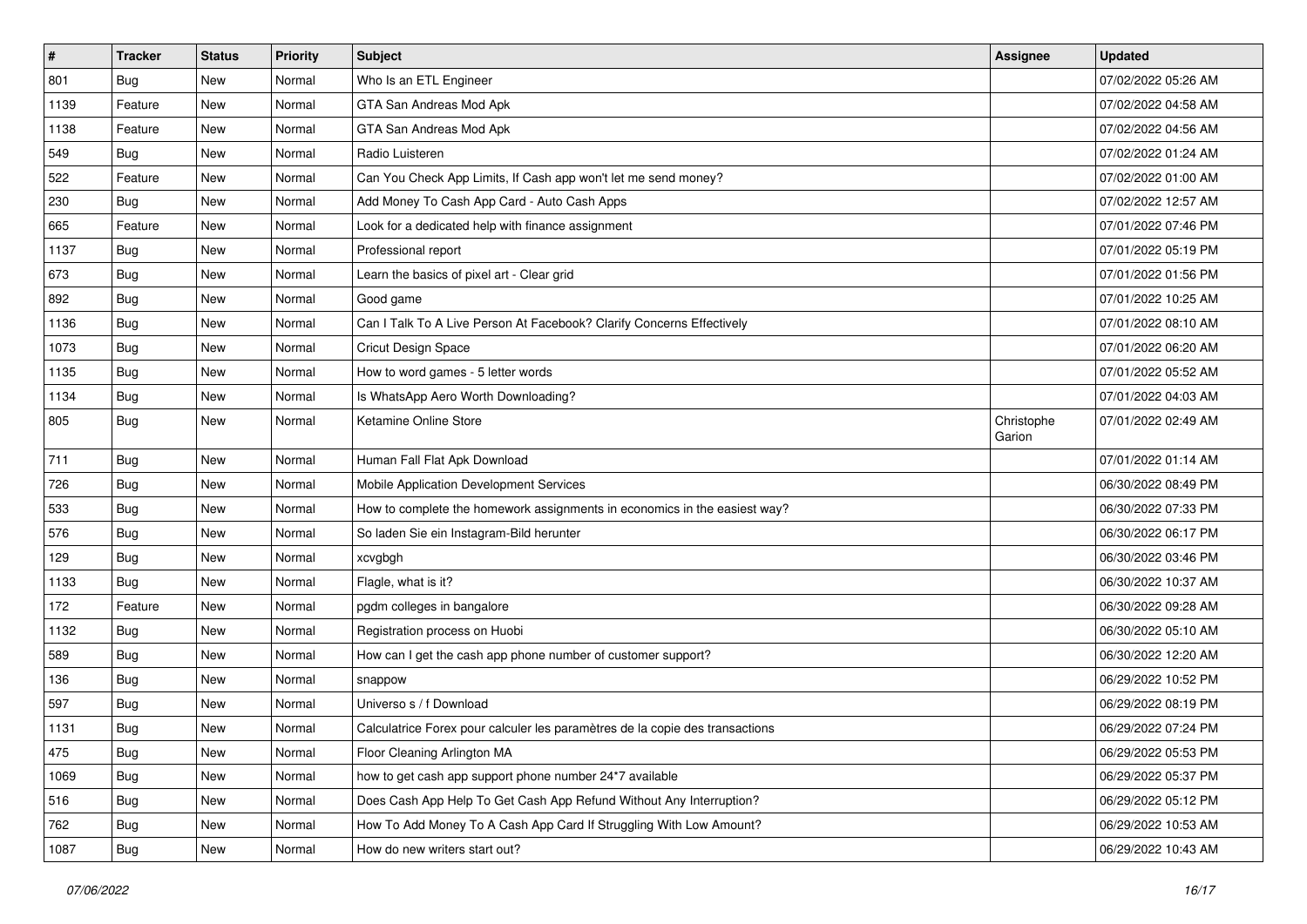| $\vert$ # | <b>Tracker</b> | <b>Status</b> | <b>Priority</b> | <b>Subject</b>                                                               | Assignee             | <b>Updated</b>      |
|-----------|----------------|---------------|-----------------|------------------------------------------------------------------------------|----------------------|---------------------|
| 801       | Bug            | New           | Normal          | Who Is an ETL Engineer                                                       |                      | 07/02/2022 05:26 AM |
| 1139      | Feature        | <b>New</b>    | Normal          | GTA San Andreas Mod Apk                                                      |                      | 07/02/2022 04:58 AM |
| 1138      | Feature        | New           | Normal          | GTA San Andreas Mod Apk                                                      |                      | 07/02/2022 04:56 AM |
| 549       | <b>Bug</b>     | New           | Normal          | Radio Luisteren                                                              |                      | 07/02/2022 01:24 AM |
| 522       | Feature        | New           | Normal          | Can You Check App Limits, If Cash app won't let me send money?               |                      | 07/02/2022 01:00 AM |
| 230       | Bug            | New           | Normal          | Add Money To Cash App Card - Auto Cash Apps                                  |                      | 07/02/2022 12:57 AM |
| 665       | Feature        | New           | Normal          | Look for a dedicated help with finance assignment                            |                      | 07/01/2022 07:46 PM |
| 1137      | Bug            | New           | Normal          | Professional report                                                          |                      | 07/01/2022 05:19 PM |
| 673       | <b>Bug</b>     | <b>New</b>    | Normal          | Learn the basics of pixel art - Clear grid                                   |                      | 07/01/2022 01:56 PM |
| 892       | Bug            | New           | Normal          | Good game                                                                    |                      | 07/01/2022 10:25 AM |
| 1136      | Bug            | New           | Normal          | Can I Talk To A Live Person At Facebook? Clarify Concerns Effectively        |                      | 07/01/2022 08:10 AM |
| 1073      | Bug            | New           | Normal          | <b>Cricut Design Space</b>                                                   |                      | 07/01/2022 06:20 AM |
| 1135      | Bug            | New           | Normal          | How to word games - 5 letter words                                           |                      | 07/01/2022 05:52 AM |
| 1134      | <b>Bug</b>     | New           | Normal          | Is WhatsApp Aero Worth Downloading?                                          |                      | 07/01/2022 04:03 AM |
| 805       | Bug            | New           | Normal          | Ketamine Online Store                                                        | Christophe<br>Garion | 07/01/2022 02:49 AM |
| 711       | Bug            | New           | Normal          | Human Fall Flat Apk Download                                                 |                      | 07/01/2022 01:14 AM |
| 726       | Bug            | New           | Normal          | Mobile Application Development Services                                      |                      | 06/30/2022 08:49 PM |
| 533       | <b>Bug</b>     | New           | Normal          | How to complete the homework assignments in economics in the easiest way?    |                      | 06/30/2022 07:33 PM |
| 576       | <b>Bug</b>     | New           | Normal          | So laden Sie ein Instagram-Bild herunter                                     |                      | 06/30/2022 06:17 PM |
| 129       | <b>Bug</b>     | New           | Normal          | xcvgbgh                                                                      |                      | 06/30/2022 03:46 PM |
| 1133      | <b>Bug</b>     | New           | Normal          | Flagle, what is it?                                                          |                      | 06/30/2022 10:37 AM |
| 172       | Feature        | New           | Normal          | pgdm colleges in bangalore                                                   |                      | 06/30/2022 09:28 AM |
| 1132      | <b>Bug</b>     | New           | Normal          | Registration process on Huobi                                                |                      | 06/30/2022 05:10 AM |
| 589       | Bug            | New           | Normal          | How can I get the cash app phone number of customer support?                 |                      | 06/30/2022 12:20 AM |
| 136       | <b>Bug</b>     | New           | Normal          | snappow                                                                      |                      | 06/29/2022 10:52 PM |
| 597       | Bug            | New           | Normal          | Universo s / f Download                                                      |                      | 06/29/2022 08:19 PM |
| 1131      | <b>Bug</b>     | New           | Normal          | Calculatrice Forex pour calculer les paramètres de la copie des transactions |                      | 06/29/2022 07:24 PM |
| 475       | <b>Bug</b>     | New           | Normal          | Floor Cleaning Arlington MA                                                  |                      | 06/29/2022 05:53 PM |
| 1069      | Bug            | New           | Normal          | how to get cash app support phone number 24*7 available                      |                      | 06/29/2022 05:37 PM |
| 516       | Bug            | New           | Normal          | Does Cash App Help To Get Cash App Refund Without Any Interruption?          |                      | 06/29/2022 05:12 PM |
| 762       | <b>Bug</b>     | New           | Normal          | How To Add Money To A Cash App Card If Struggling With Low Amount?           |                      | 06/29/2022 10:53 AM |
| 1087      | <b>Bug</b>     | New           | Normal          | How do new writers start out?                                                |                      | 06/29/2022 10:43 AM |